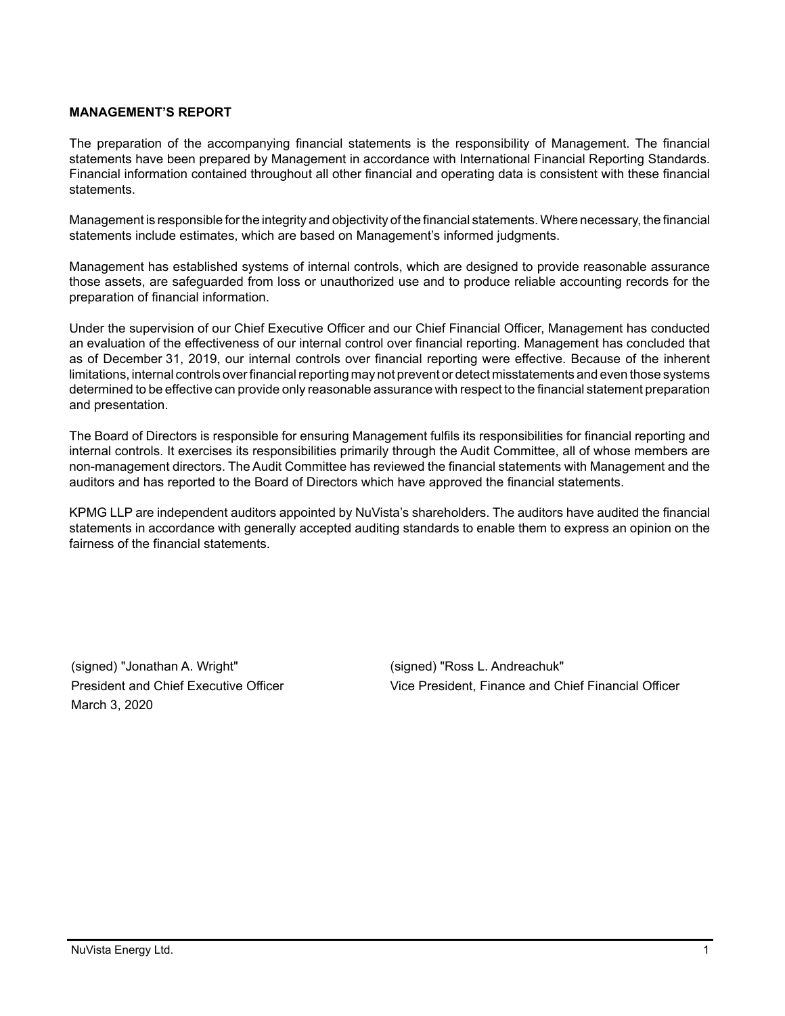# **MANAGEMENT'S REPORT**

The preparation of the accompanying financial statements is the responsibility of Management. The financial statements have been prepared by Management in accordance with International Financial Reporting Standards. Financial information contained throughout all other financial and operating data is consistent with these financial statements.

Management is responsible for the integrity and objectivity of the financial statements. Where necessary, the financial statements include estimates, which are based on Management's informed judgments.

Management has established systems of internal controls, which are designed to provide reasonable assurance those assets, are safeguarded from loss or unauthorized use and to produce reliable accounting records for the preparation of financial information.

Under the supervision of our Chief Executive Officer and our Chief Financial Officer, Management has conducted an evaluation of the effectiveness of our internal control over financial reporting. Management has concluded that as of December 31, 2019, our internal controls over financial reporting were effective. Because of the inherent limitations, internal controls over financial reporting may not prevent or detect misstatements and even those systems determined to be effective can provide only reasonable assurance with respect to the financial statement preparation and presentation.

The Board of Directors is responsible for ensuring Management fulfils its responsibilities for financial reporting and internal controls. It exercises its responsibilities primarily through the Audit Committee, all of whose members are non-management directors. The Audit Committee has reviewed the financial statements with Management and the auditors and has reported to the Board of Directors which have approved the financial statements.

KPMG LLP are independent auditors appointed by NuVista's shareholders. The auditors have audited the financial statements in accordance with generally accepted auditing standards to enable them to express an opinion on the fairness of the financial statements.

(signed) "Jonathan A. Wright" (signed) "Ross L. Andreachuk" March 3, 2020

President and Chief Executive Officer Vice President, Finance and Chief Financial Officer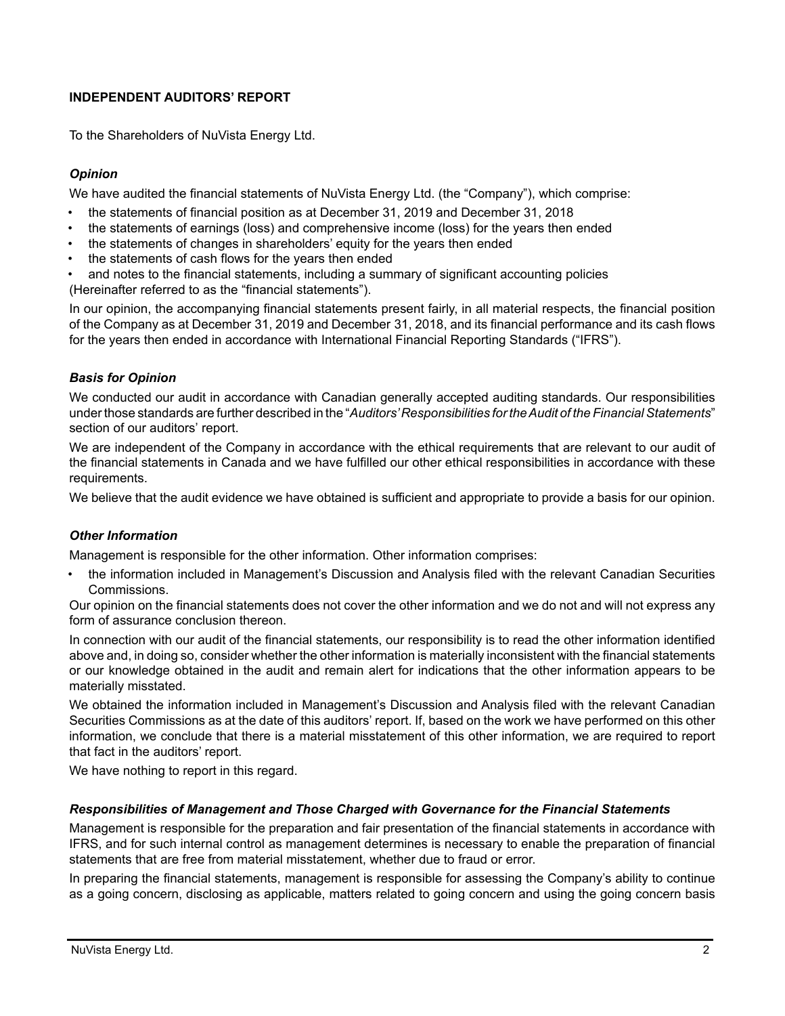# **INDEPENDENT AUDITORS' REPORT**

To the Shareholders of NuVista Energy Ltd.

### *Opinion*

We have audited the financial statements of NuVista Energy Ltd. (the "Company"), which comprise:

- the statements of financial position as at December 31, 2019 and December 31, 2018
- the statements of earnings (loss) and comprehensive income (loss) for the years then ended
- the statements of changes in shareholders' equity for the years then ended
- the statements of cash flows for the years then ended
- and notes to the financial statements, including a summary of significant accounting policies (Hereinafter referred to as the "financial statements").

In our opinion, the accompanying financial statements present fairly, in all material respects, the financial position of the Company as at December 31, 2019 and December 31, 2018, and its financial performance and its cash flows for the years then ended in accordance with International Financial Reporting Standards ("IFRS").

### *Basis for Opinion*

We conducted our audit in accordance with Canadian generally accepted auditing standards. Our responsibilities under those standards are further described in the "*Auditors' Responsibilities for the Audit of the Financial Statements*" section of our auditors' report.

We are independent of the Company in accordance with the ethical requirements that are relevant to our audit of the financial statements in Canada and we have fulfilled our other ethical responsibilities in accordance with these requirements.

We believe that the audit evidence we have obtained is sufficient and appropriate to provide a basis for our opinion.

### *Other Information*

Management is responsible for the other information. Other information comprises:

• the information included in Management's Discussion and Analysis filed with the relevant Canadian Securities Commissions.

Our opinion on the financial statements does not cover the other information and we do not and will not express any form of assurance conclusion thereon.

In connection with our audit of the financial statements, our responsibility is to read the other information identified above and, in doing so, consider whether the other information is materially inconsistent with the financial statements or our knowledge obtained in the audit and remain alert for indications that the other information appears to be materially misstated.

We obtained the information included in Management's Discussion and Analysis filed with the relevant Canadian Securities Commissions as at the date of this auditors' report. If, based on the work we have performed on this other information, we conclude that there is a material misstatement of this other information, we are required to report that fact in the auditors' report.

We have nothing to report in this regard.

#### *Responsibilities of Management and Those Charged with Governance for the Financial Statements*

Management is responsible for the preparation and fair presentation of the financial statements in accordance with IFRS, and for such internal control as management determines is necessary to enable the preparation of financial statements that are free from material misstatement, whether due to fraud or error.

In preparing the financial statements, management is responsible for assessing the Company's ability to continue as a going concern, disclosing as applicable, matters related to going concern and using the going concern basis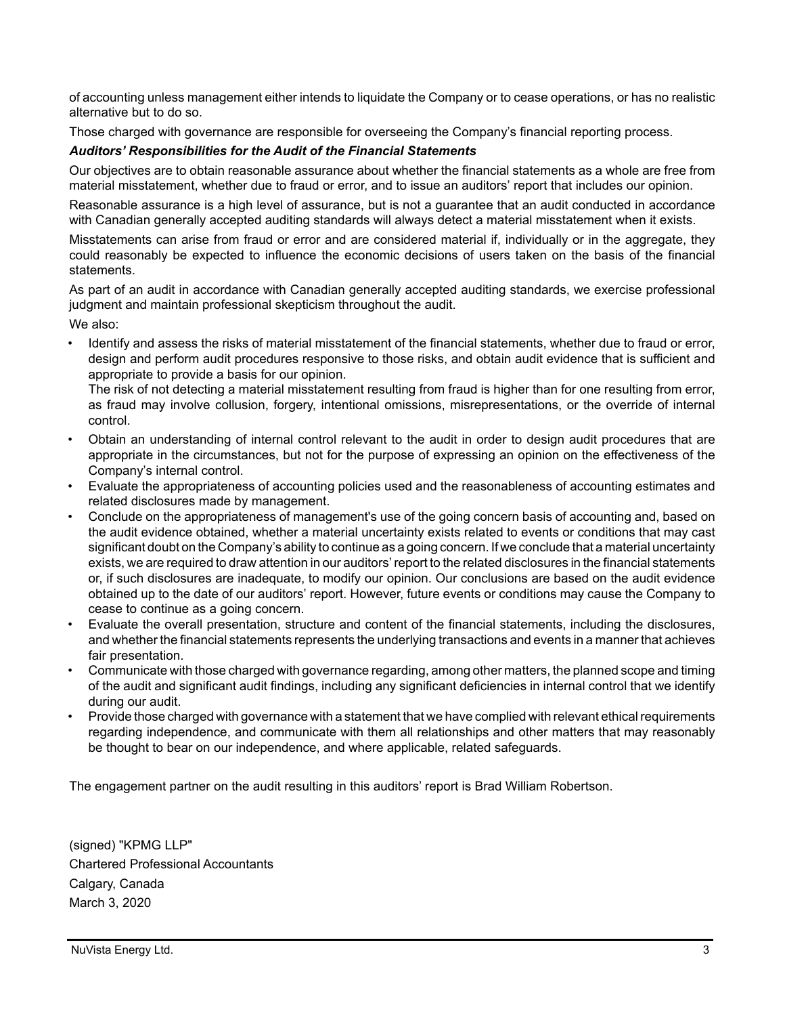of accounting unless management either intends to liquidate the Company or to cease operations, or has no realistic alternative but to do so.

Those charged with governance are responsible for overseeing the Company's financial reporting process.

#### *Auditors' Responsibilities for the Audit of the Financial Statements*

Our objectives are to obtain reasonable assurance about whether the financial statements as a whole are free from material misstatement, whether due to fraud or error, and to issue an auditors' report that includes our opinion.

Reasonable assurance is a high level of assurance, but is not a guarantee that an audit conducted in accordance with Canadian generally accepted auditing standards will always detect a material misstatement when it exists.

Misstatements can arise from fraud or error and are considered material if, individually or in the aggregate, they could reasonably be expected to influence the economic decisions of users taken on the basis of the financial statements.

As part of an audit in accordance with Canadian generally accepted auditing standards, we exercise professional judgment and maintain professional skepticism throughout the audit.

We also:

• Identify and assess the risks of material misstatement of the financial statements, whether due to fraud or error, design and perform audit procedures responsive to those risks, and obtain audit evidence that is sufficient and appropriate to provide a basis for our opinion.

The risk of not detecting a material misstatement resulting from fraud is higher than for one resulting from error, as fraud may involve collusion, forgery, intentional omissions, misrepresentations, or the override of internal control.

- Obtain an understanding of internal control relevant to the audit in order to design audit procedures that are appropriate in the circumstances, but not for the purpose of expressing an opinion on the effectiveness of the Company's internal control.
- Evaluate the appropriateness of accounting policies used and the reasonableness of accounting estimates and related disclosures made by management.
- Conclude on the appropriateness of management's use of the going concern basis of accounting and, based on the audit evidence obtained, whether a material uncertainty exists related to events or conditions that may cast significant doubt on the Company's ability to continue as a going concern. If we conclude that a material uncertainty exists, we are required to draw attention in our auditors' report to the related disclosures in the financial statements or, if such disclosures are inadequate, to modify our opinion. Our conclusions are based on the audit evidence obtained up to the date of our auditors' report. However, future events or conditions may cause the Company to cease to continue as a going concern.
- Evaluate the overall presentation, structure and content of the financial statements, including the disclosures, and whether the financial statements represents the underlying transactions and events in a manner that achieves fair presentation.
- Communicate with those charged with governance regarding, among other matters, the planned scope and timing of the audit and significant audit findings, including any significant deficiencies in internal control that we identify during our audit.
- Provide those charged with governance with a statement that we have complied with relevant ethical requirements regarding independence, and communicate with them all relationships and other matters that may reasonably be thought to bear on our independence, and where applicable, related safeguards.

The engagement partner on the audit resulting in this auditors' report is Brad William Robertson.

(signed) "KPMG LLP" Chartered Professional Accountants Calgary, Canada March 3, 2020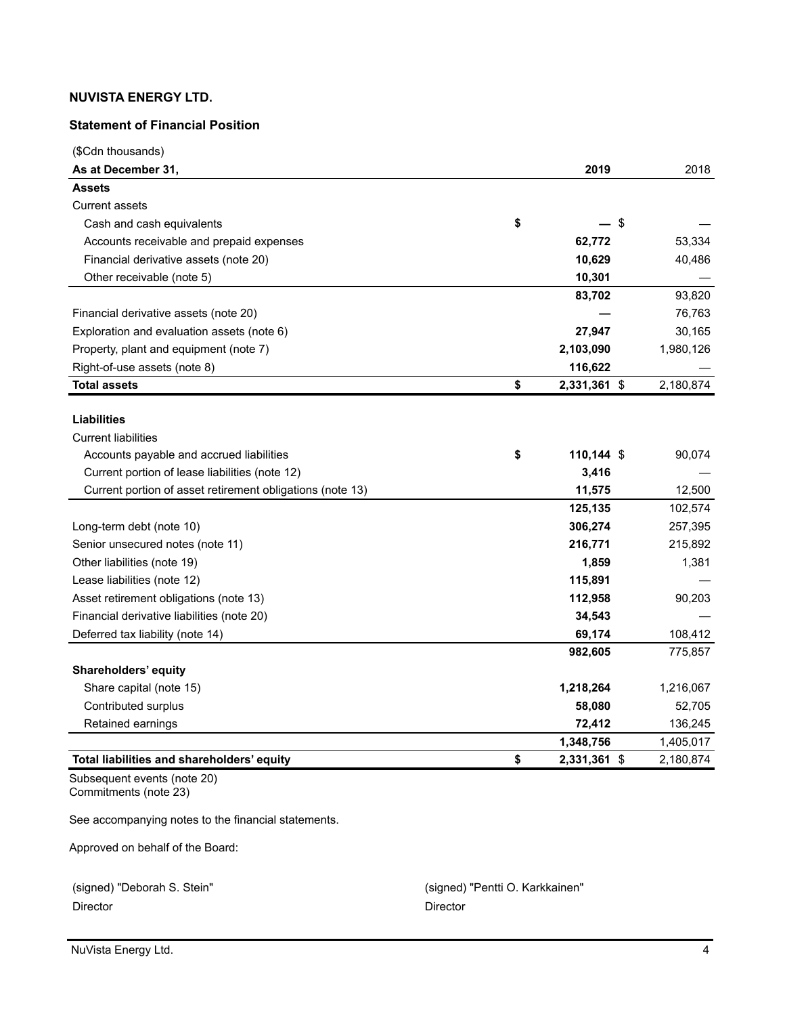#### **Statement of Financial Position**

| (\$Cdn thousands)                                         |                               |           |
|-----------------------------------------------------------|-------------------------------|-----------|
| As at December 31,                                        | 2019                          | 2018      |
| <b>Assets</b>                                             |                               |           |
| <b>Current assets</b>                                     |                               |           |
| Cash and cash equivalents                                 | \$<br>$\sqrt[6]{\frac{1}{2}}$ |           |
| Accounts receivable and prepaid expenses                  | 62,772                        | 53,334    |
| Financial derivative assets (note 20)                     | 10,629                        | 40,486    |
| Other receivable (note 5)                                 | 10,301                        |           |
|                                                           | 83,702                        | 93,820    |
| Financial derivative assets (note 20)                     |                               | 76,763    |
| Exploration and evaluation assets (note 6)                | 27,947                        | 30,165    |
| Property, plant and equipment (note 7)                    | 2,103,090                     | 1,980,126 |
| Right-of-use assets (note 8)                              | 116,622                       |           |
| <b>Total assets</b>                                       | \$<br>2,331,361 \$            | 2,180,874 |
|                                                           |                               |           |
| <b>Liabilities</b>                                        |                               |           |
| <b>Current liabilities</b>                                |                               |           |
| Accounts payable and accrued liabilities                  | \$<br>$110,144$ \$            | 90,074    |
| Current portion of lease liabilities (note 12)            | 3,416                         |           |
| Current portion of asset retirement obligations (note 13) | 11,575                        | 12,500    |
|                                                           | 125,135                       | 102,574   |
| Long-term debt (note 10)                                  | 306,274                       | 257,395   |
| Senior unsecured notes (note 11)                          | 216,771                       | 215,892   |
| Other liabilities (note 19)                               | 1,859                         | 1,381     |
| Lease liabilities (note 12)                               | 115,891                       |           |
| Asset retirement obligations (note 13)                    | 112,958                       | 90,203    |
| Financial derivative liabilities (note 20)                | 34,543                        |           |
| Deferred tax liability (note 14)                          | 69,174                        | 108,412   |
|                                                           | 982,605                       | 775,857   |
| Shareholders' equity                                      |                               |           |
| Share capital (note 15)                                   | 1,218,264                     | 1,216,067 |
| Contributed surplus                                       | 58,080                        | 52,705    |
| Retained earnings                                         | 72,412                        | 136,245   |
|                                                           | 1,348,756                     | 1,405,017 |
| Total liabilities and shareholders' equity                | \$<br>2,331,361 \$            | 2,180,874 |
| $\sim$                                                    |                               |           |

Subsequent events (note 20) Commitments (note 23)

See accompanying notes to the financial statements.

Approved on behalf of the Board:

Director Director

(signed) "Deborah S. Stein" (signed) "Pentti O. Karkkainen"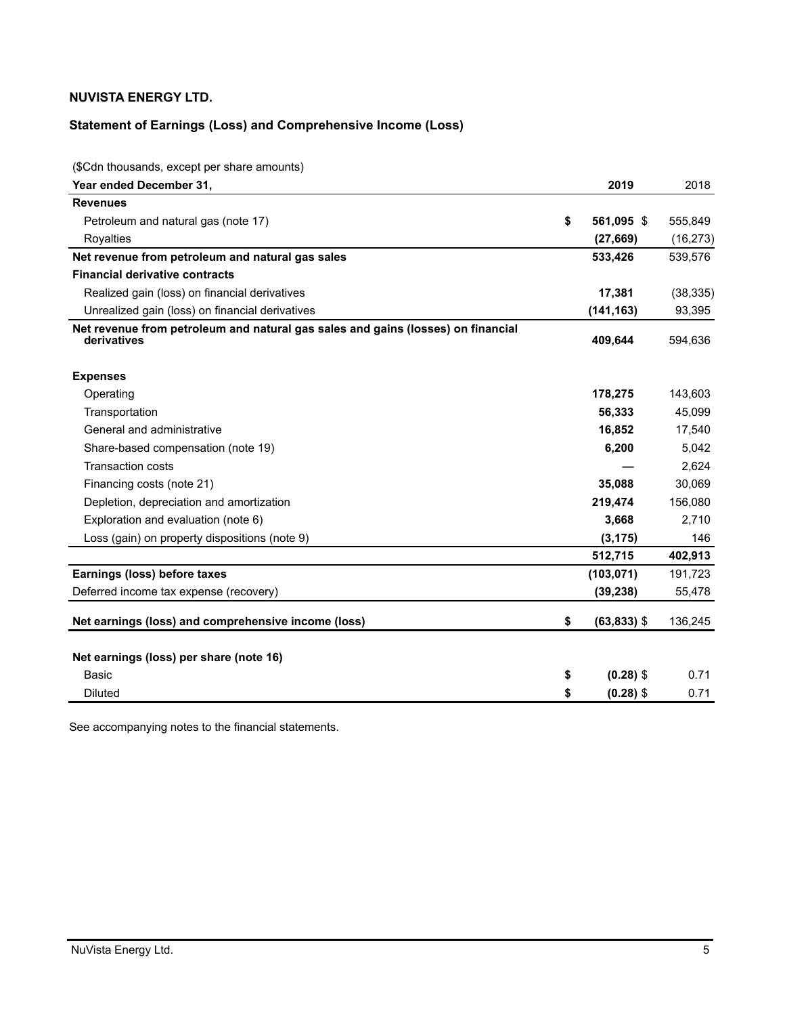# **Statement of Earnings (Loss) and Comprehensive Income (Loss)**

(\$Cdn thousands, except per share amounts)

| Year ended December 31,                                                                         | 2019                 | 2018      |
|-------------------------------------------------------------------------------------------------|----------------------|-----------|
| <b>Revenues</b>                                                                                 |                      |           |
| Petroleum and natural gas (note 17)                                                             | \$<br>561,095 \$     | 555,849   |
| Royalties                                                                                       | (27, 669)            | (16, 273) |
| Net revenue from petroleum and natural gas sales                                                | 533,426              | 539,576   |
| <b>Financial derivative contracts</b>                                                           |                      |           |
| Realized gain (loss) on financial derivatives                                                   | 17,381               | (38, 335) |
| Unrealized gain (loss) on financial derivatives                                                 | (141, 163)           | 93,395    |
| Net revenue from petroleum and natural gas sales and gains (losses) on financial<br>derivatives | 409.644              | 594,636   |
| <b>Expenses</b>                                                                                 |                      |           |
| Operating                                                                                       | 178,275              | 143,603   |
| Transportation                                                                                  | 56,333               | 45,099    |
| General and administrative                                                                      | 16,852               | 17,540    |
| Share-based compensation (note 19)                                                              | 6,200                | 5,042     |
| <b>Transaction costs</b>                                                                        |                      | 2,624     |
| Financing costs (note 21)                                                                       | 35,088               | 30,069    |
| Depletion, depreciation and amortization                                                        | 219,474              | 156,080   |
| Exploration and evaluation (note 6)                                                             | 3,668                | 2,710     |
| Loss (gain) on property dispositions (note 9)                                                   | (3, 175)             | 146       |
|                                                                                                 | 512,715              | 402,913   |
| Earnings (loss) before taxes                                                                    | (103, 071)           | 191,723   |
| Deferred income tax expense (recovery)                                                          | (39, 238)            | 55,478    |
| Net earnings (loss) and comprehensive income (loss)                                             | \$<br>$(63, 833)$ \$ | 136,245   |
| Net earnings (loss) per share (note 16)                                                         |                      |           |
| Basic                                                                                           | \$<br>$(0.28)$ \$    | 0.71      |
| <b>Diluted</b>                                                                                  | \$<br>$(0.28)$ \$    | 0.71      |

See accompanying notes to the financial statements.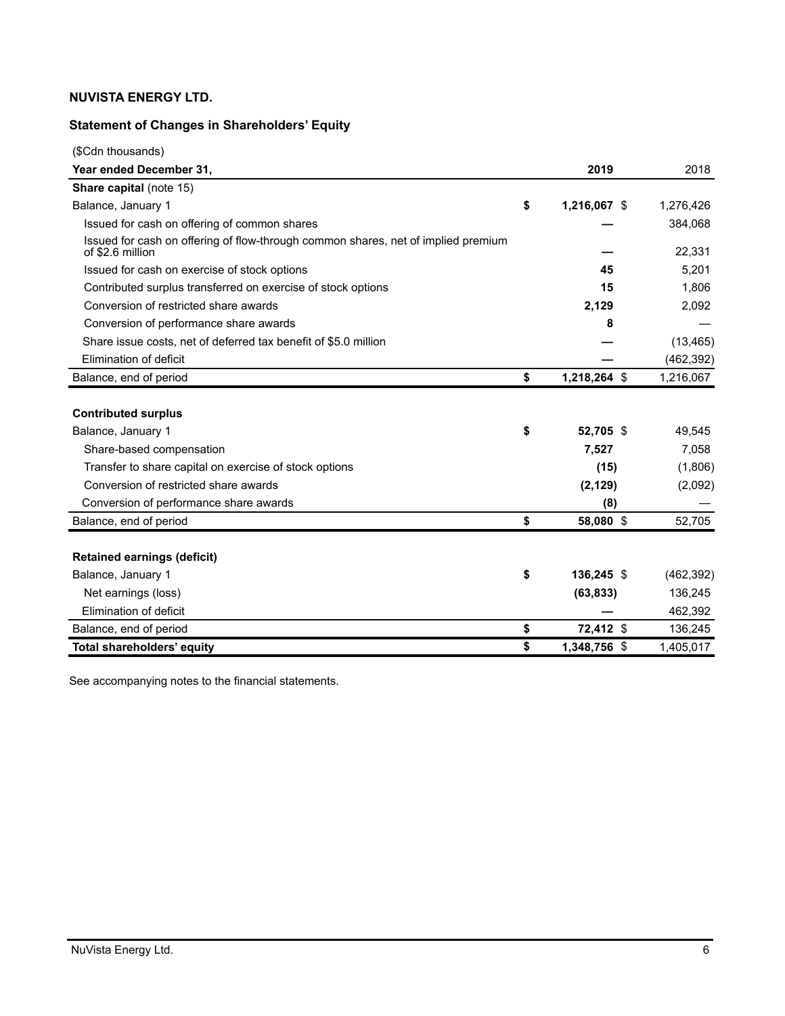# **Statement of Changes in Shareholders' Equity**

| (\$Cdn thousands)                                                                                     |                    |            |
|-------------------------------------------------------------------------------------------------------|--------------------|------------|
| Year ended December 31,                                                                               | 2019               | 2018       |
| Share capital (note 15)                                                                               |                    |            |
| Balance, January 1                                                                                    | \$<br>1,216,067 \$ | 1,276,426  |
| Issued for cash on offering of common shares                                                          |                    | 384,068    |
| Issued for cash on offering of flow-through common shares, net of implied premium<br>of \$2.6 million |                    | 22,331     |
| Issued for cash on exercise of stock options                                                          | 45                 | 5,201      |
| Contributed surplus transferred on exercise of stock options                                          | 15                 | 1,806      |
| Conversion of restricted share awards                                                                 | 2,129              | 2,092      |
| Conversion of performance share awards                                                                | 8                  |            |
| Share issue costs, net of deferred tax benefit of \$5.0 million                                       |                    | (13, 465)  |
| Elimination of deficit                                                                                |                    | (462, 392) |
| Balance, end of period                                                                                | \$<br>1,218,264 \$ | 1,216,067  |
| <b>Contributed surplus</b>                                                                            |                    |            |
| Balance, January 1                                                                                    | \$<br>52,705 \$    | 49,545     |
| Share-based compensation                                                                              | 7,527              | 7,058      |
| Transfer to share capital on exercise of stock options                                                | (15)               | (1,806)    |
| Conversion of restricted share awards                                                                 | (2, 129)           | (2,092)    |
| Conversion of performance share awards                                                                | (8)                |            |
| Balance, end of period                                                                                | \$<br>58,080 \$    | 52,705     |
|                                                                                                       |                    |            |
| <b>Retained earnings (deficit)</b>                                                                    |                    |            |
| Balance, January 1                                                                                    | \$<br>136,245 \$   | (462, 392) |
| Net earnings (loss)                                                                                   | (63, 833)          | 136,245    |
| Elimination of deficit                                                                                |                    | 462,392    |
| Balance, end of period                                                                                | \$<br>72,412 \$    | 136,245    |
| Total shareholders' equity                                                                            | \$<br>1,348,756 \$ | 1,405,017  |

See accompanying notes to the financial statements.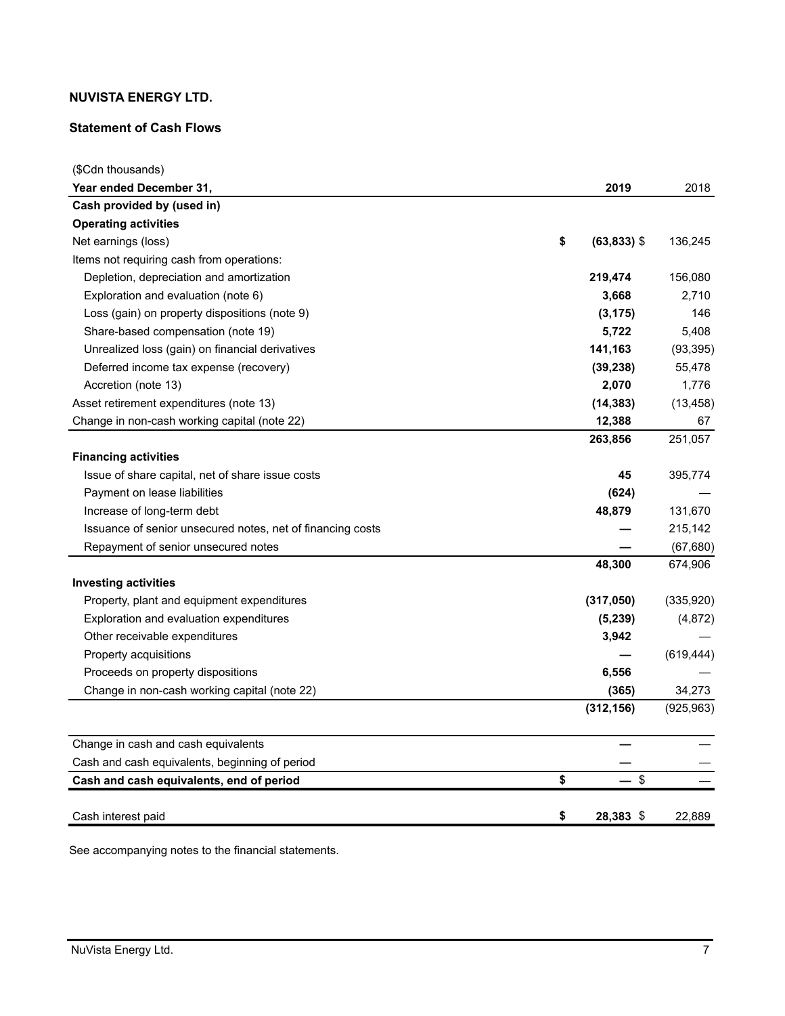# **Statement of Cash Flows**

| (\$Cdn thousands)                                          |                      |            |
|------------------------------------------------------------|----------------------|------------|
| Year ended December 31,                                    | 2019                 | 2018       |
| Cash provided by (used in)                                 |                      |            |
| <b>Operating activities</b>                                |                      |            |
| Net earnings (loss)                                        | \$<br>$(63, 833)$ \$ | 136,245    |
| Items not requiring cash from operations:                  |                      |            |
| Depletion, depreciation and amortization                   | 219,474              | 156,080    |
| Exploration and evaluation (note 6)                        | 3,668                | 2,710      |
| Loss (gain) on property dispositions (note 9)              | (3, 175)             | 146        |
| Share-based compensation (note 19)                         | 5,722                | 5,408      |
| Unrealized loss (gain) on financial derivatives            | 141,163              | (93, 395)  |
| Deferred income tax expense (recovery)                     | (39, 238)            | 55,478     |
| Accretion (note 13)                                        | 2,070                | 1,776      |
| Asset retirement expenditures (note 13)                    | (14, 383)            | (13, 458)  |
| Change in non-cash working capital (note 22)               | 12,388               | 67         |
|                                                            | 263,856              | 251,057    |
| <b>Financing activities</b>                                |                      |            |
| Issue of share capital, net of share issue costs           | 45                   | 395,774    |
| Payment on lease liabilities                               | (624)                |            |
| Increase of long-term debt                                 | 48,879               | 131,670    |
| Issuance of senior unsecured notes, net of financing costs |                      | 215,142    |
| Repayment of senior unsecured notes                        |                      | (67, 680)  |
|                                                            | 48,300               | 674,906    |
| <b>Investing activities</b>                                |                      |            |
| Property, plant and equipment expenditures                 | (317,050)            | (335, 920) |
| Exploration and evaluation expenditures                    | (5, 239)             | (4, 872)   |
| Other receivable expenditures                              | 3,942                |            |
| Property acquisitions                                      |                      | (619, 444) |
| Proceeds on property dispositions                          | 6,556                |            |
| Change in non-cash working capital (note 22)               | (365)                | 34,273     |
|                                                            | (312, 156)           | (925, 963) |
| Change in cash and cash equivalents                        |                      |            |
| Cash and cash equivalents, beginning of period             |                      |            |
| Cash and cash equivalents, end of period                   | \$<br>$-$ \$         |            |
| Cash interest paid                                         | \$<br>28,383 \$      | 22,889     |

See accompanying notes to the financial statements.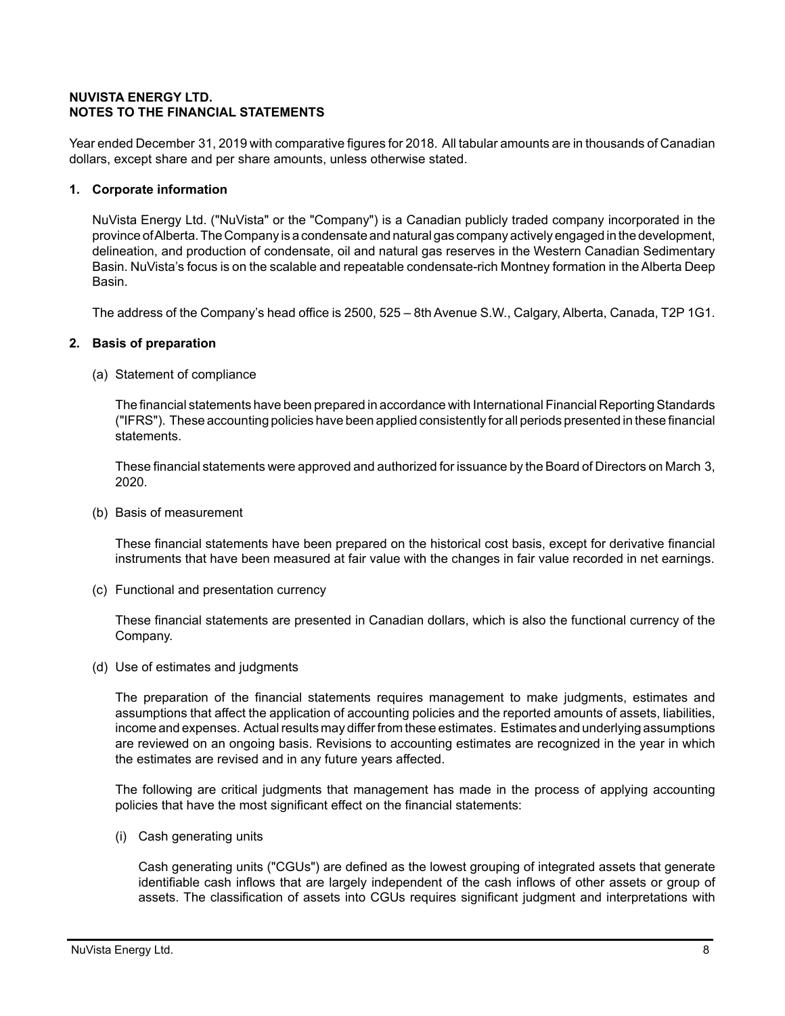### **NUVISTA ENERGY LTD. NOTES TO THE FINANCIAL STATEMENTS**

Year ended December 31, 2019 with comparative figures for 2018. All tabular amounts are in thousands of Canadian dollars, except share and per share amounts, unless otherwise stated.

### **1. Corporate information**

NuVista Energy Ltd. ("NuVista" or the "Company") is a Canadian publicly traded company incorporated in the province of Alberta. The Company is a condensate and natural gas company actively engaged in the development, delineation, and production of condensate, oil and natural gas reserves in the Western Canadian Sedimentary Basin. NuVista's focus is on the scalable and repeatable condensate-rich Montney formation in the Alberta Deep Basin.

The address of the Company's head office is 2500, 525 – 8th Avenue S.W., Calgary, Alberta, Canada, T2P 1G1.

#### **2. Basis of preparation**

(a) Statement of compliance

The financial statements have been prepared in accordance with International Financial Reporting Standards ("IFRS"). These accounting policies have been applied consistently for all periods presented in these financial statements.

These financial statements were approved and authorized for issuance by the Board of Directors on March 3, 2020.

(b) Basis of measurement

These financial statements have been prepared on the historical cost basis, except for derivative financial instruments that have been measured at fair value with the changes in fair value recorded in net earnings.

(c) Functional and presentation currency

These financial statements are presented in Canadian dollars, which is also the functional currency of the Company.

(d) Use of estimates and judgments

The preparation of the financial statements requires management to make judgments, estimates and assumptions that affect the application of accounting policies and the reported amounts of assets, liabilities, income and expenses. Actual results may differ from these estimates. Estimates and underlying assumptions are reviewed on an ongoing basis. Revisions to accounting estimates are recognized in the year in which the estimates are revised and in any future years affected.

The following are critical judgments that management has made in the process of applying accounting policies that have the most significant effect on the financial statements:

(i) Cash generating units

Cash generating units ("CGUs") are defined as the lowest grouping of integrated assets that generate identifiable cash inflows that are largely independent of the cash inflows of other assets or group of assets. The classification of assets into CGUs requires significant judgment and interpretations with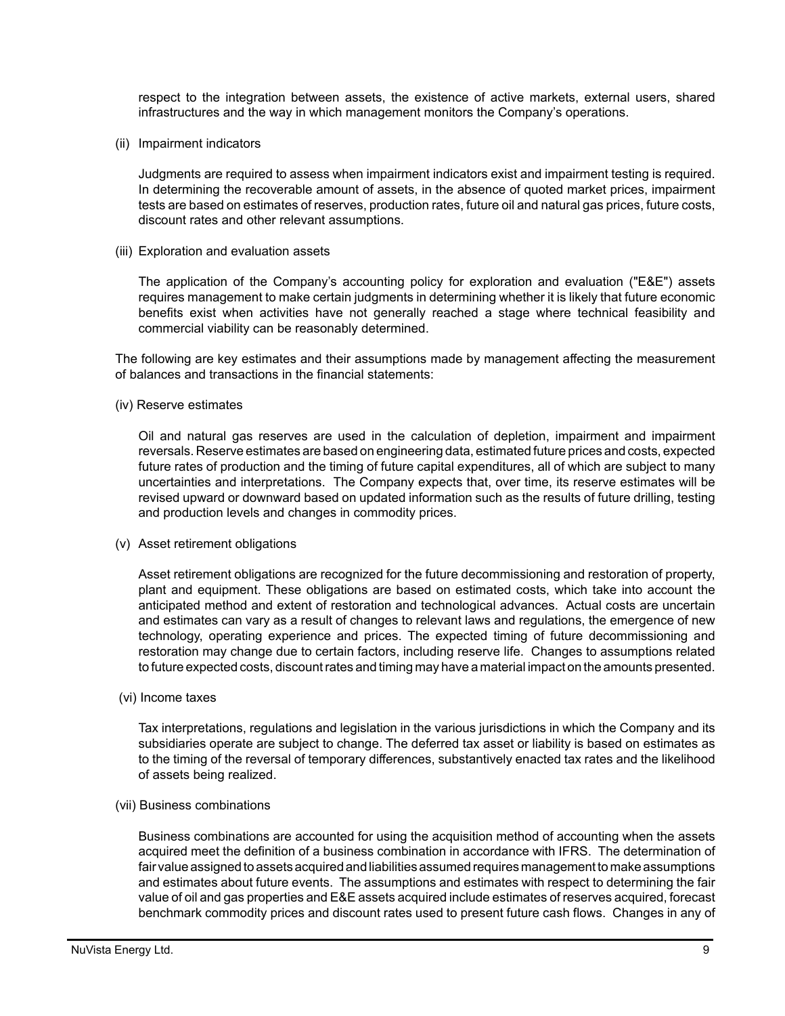respect to the integration between assets, the existence of active markets, external users, shared infrastructures and the way in which management monitors the Company's operations.

(ii) Impairment indicators

Judgments are required to assess when impairment indicators exist and impairment testing is required. In determining the recoverable amount of assets, in the absence of quoted market prices, impairment tests are based on estimates of reserves, production rates, future oil and natural gas prices, future costs, discount rates and other relevant assumptions.

(iii) Exploration and evaluation assets

The application of the Company's accounting policy for exploration and evaluation ("E&E") assets requires management to make certain judgments in determining whether it is likely that future economic benefits exist when activities have not generally reached a stage where technical feasibility and commercial viability can be reasonably determined.

The following are key estimates and their assumptions made by management affecting the measurement of balances and transactions in the financial statements:

(iv) Reserve estimates

Oil and natural gas reserves are used in the calculation of depletion, impairment and impairment reversals. Reserve estimates are based on engineering data, estimated future prices and costs, expected future rates of production and the timing of future capital expenditures, all of which are subject to many uncertainties and interpretations. The Company expects that, over time, its reserve estimates will be revised upward or downward based on updated information such as the results of future drilling, testing and production levels and changes in commodity prices.

(v) Asset retirement obligations

Asset retirement obligations are recognized for the future decommissioning and restoration of property, plant and equipment. These obligations are based on estimated costs, which take into account the anticipated method and extent of restoration and technological advances. Actual costs are uncertain and estimates can vary as a result of changes to relevant laws and regulations, the emergence of new technology, operating experience and prices. The expected timing of future decommissioning and restoration may change due to certain factors, including reserve life. Changes to assumptions related to future expected costs, discount rates and timing may have a material impact on the amounts presented.

(vi) Income taxes

Tax interpretations, regulations and legislation in the various jurisdictions in which the Company and its subsidiaries operate are subject to change. The deferred tax asset or liability is based on estimates as to the timing of the reversal of temporary differences, substantively enacted tax rates and the likelihood of assets being realized.

(vii) Business combinations

Business combinations are accounted for using the acquisition method of accounting when the assets acquired meet the definition of a business combination in accordance with IFRS. The determination of fair value assigned to assets acquired and liabilities assumed requires management to make assumptions and estimates about future events. The assumptions and estimates with respect to determining the fair value of oil and gas properties and E&E assets acquired include estimates of reserves acquired, forecast benchmark commodity prices and discount rates used to present future cash flows. Changes in any of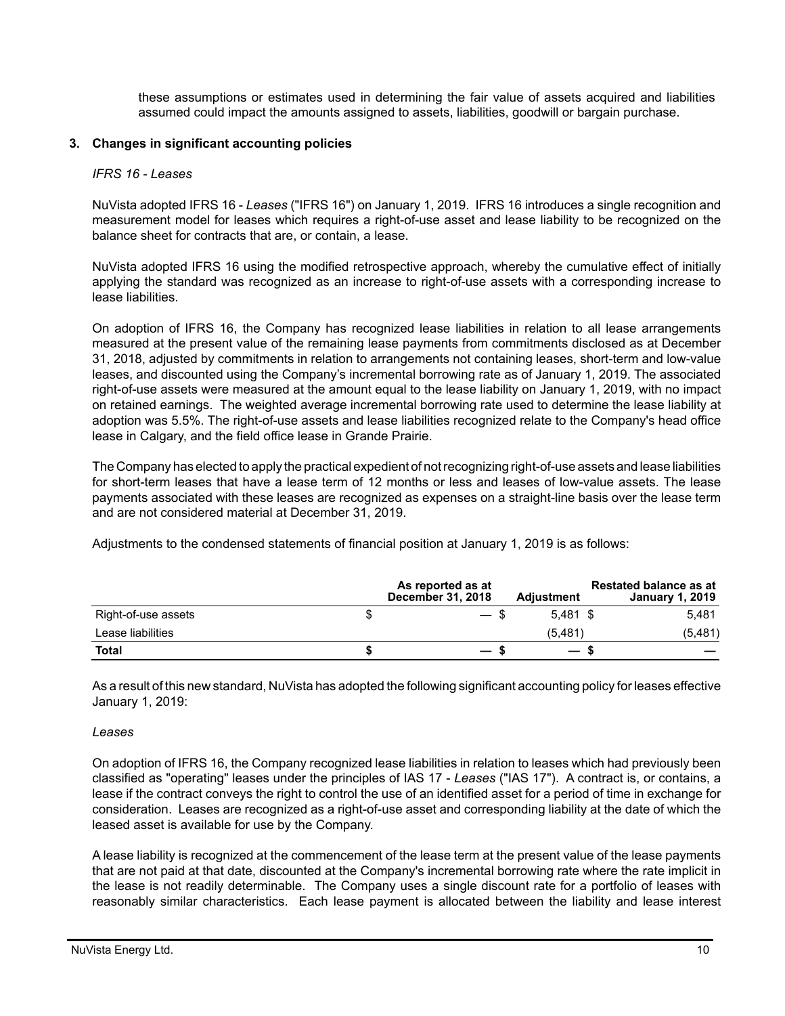these assumptions or estimates used in determining the fair value of assets acquired and liabilities assumed could impact the amounts assigned to assets, liabilities, goodwill or bargain purchase.

### **3. Changes in significant accounting policies**

#### *IFRS 16 - Leases*

NuVista adopted IFRS 16 - *Leases* ("IFRS 16") on January 1, 2019. IFRS 16 introduces a single recognition and measurement model for leases which requires a right-of-use asset and lease liability to be recognized on the balance sheet for contracts that are, or contain, a lease.

NuVista adopted IFRS 16 using the modified retrospective approach, whereby the cumulative effect of initially applying the standard was recognized as an increase to right-of-use assets with a corresponding increase to lease liabilities.

On adoption of IFRS 16, the Company has recognized lease liabilities in relation to all lease arrangements measured at the present value of the remaining lease payments from commitments disclosed as at December 31, 2018, adjusted by commitments in relation to arrangements not containing leases, short-term and low-value leases, and discounted using the Company's incremental borrowing rate as of January 1, 2019. The associated right-of-use assets were measured at the amount equal to the lease liability on January 1, 2019, with no impact on retained earnings. The weighted average incremental borrowing rate used to determine the lease liability at adoption was 5.5%. The right-of-use assets and lease liabilities recognized relate to the Company's head office lease in Calgary, and the field office lease in Grande Prairie.

The Company has elected to apply the practical expedient of not recognizing right-of-use assets and lease liabilities for short-term leases that have a lease term of 12 months or less and leases of low-value assets. The lease payments associated with these leases are recognized as expenses on a straight-line basis over the lease term and are not considered material at December 31, 2019.

Adjustments to the condensed statements of financial position at January 1, 2019 is as follows:

|                     | As reported as at<br><b>December 31, 2018</b> | <b>Adiustment</b> | <b>Restated balance as at</b><br><b>January 1, 2019</b> |
|---------------------|-----------------------------------------------|-------------------|---------------------------------------------------------|
| Right-of-use assets | $\overline{\phantom{m}}$                      | $5.481$ \$        | 5.481                                                   |
| Lease liabilities   |                                               | (5.481)           | (5,481)                                                 |
| Total               | $\overline{\phantom{0}}$                      | $-5$              |                                                         |

As a result of this new standard, NuVista has adopted the following significant accounting policy for leases effective January 1, 2019:

### *Leases*

On adoption of IFRS 16, the Company recognized lease liabilities in relation to leases which had previously been classified as "operating" leases under the principles of IAS 17 - *Leases* ("IAS 17"). A contract is, or contains, a lease if the contract conveys the right to control the use of an identified asset for a period of time in exchange for consideration. Leases are recognized as a right-of-use asset and corresponding liability at the date of which the leased asset is available for use by the Company.

A lease liability is recognized at the commencement of the lease term at the present value of the lease payments that are not paid at that date, discounted at the Company's incremental borrowing rate where the rate implicit in the lease is not readily determinable. The Company uses a single discount rate for a portfolio of leases with reasonably similar characteristics. Each lease payment is allocated between the liability and lease interest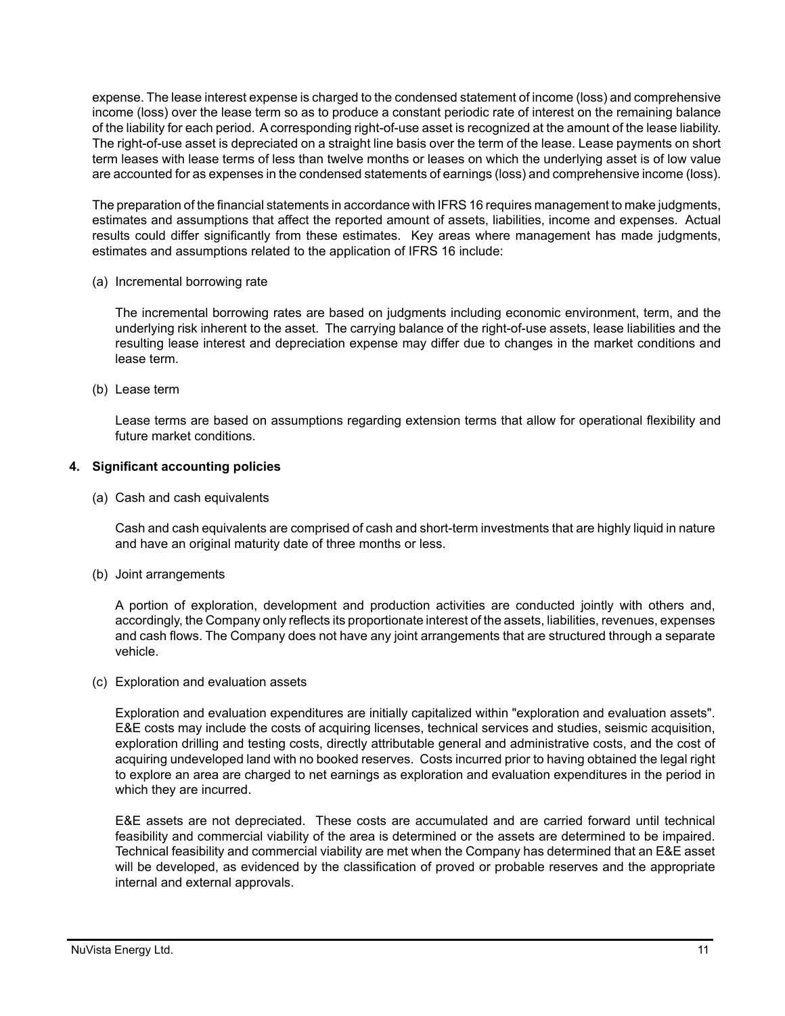expense. The lease interest expense is charged to the condensed statement of income (loss) and comprehensive income (loss) over the lease term so as to produce a constant periodic rate of interest on the remaining balance of the liability for each period. A corresponding right-of-use asset is recognized at the amount of the lease liability. The right-of-use asset is depreciated on a straight line basis over the term of the lease. Lease payments on short term leases with lease terms of less than twelve months or leases on which the underlying asset is of low value are accounted for as expenses in the condensed statements of earnings (loss) and comprehensive income (loss).

The preparation of the financial statements in accordance with IFRS 16 requires management to make judgments, estimates and assumptions that affect the reported amount of assets, liabilities, income and expenses. Actual results could differ significantly from these estimates. Key areas where management has made judgments, estimates and assumptions related to the application of IFRS 16 include:

(a) Incremental borrowing rate

The incremental borrowing rates are based on judgments including economic environment, term, and the underlying risk inherent to the asset. The carrying balance of the right-of-use assets, lease liabilities and the resulting lease interest and depreciation expense may differ due to changes in the market conditions and lease term.

(b) Lease term

Lease terms are based on assumptions regarding extension terms that allow for operational flexibility and future market conditions.

#### **4. Significant accounting policies**

(a) Cash and cash equivalents

Cash and cash equivalents are comprised of cash and short-term investments that are highly liquid in nature and have an original maturity date of three months or less.

(b) Joint arrangements

A portion of exploration, development and production activities are conducted jointly with others and, accordingly, the Company only reflects its proportionate interest of the assets, liabilities, revenues, expenses and cash flows. The Company does not have any joint arrangements that are structured through a separate vehicle.

(c) Exploration and evaluation assets

Exploration and evaluation expenditures are initially capitalized within "exploration and evaluation assets". E&E costs may include the costs of acquiring licenses, technical services and studies, seismic acquisition, exploration drilling and testing costs, directly attributable general and administrative costs, and the cost of acquiring undeveloped land with no booked reserves. Costs incurred prior to having obtained the legal right to explore an area are charged to net earnings as exploration and evaluation expenditures in the period in which they are incurred.

E&E assets are not depreciated. These costs are accumulated and are carried forward until technical feasibility and commercial viability of the area is determined or the assets are determined to be impaired. Technical feasibility and commercial viability are met when the Company has determined that an E&E asset will be developed, as evidenced by the classification of proved or probable reserves and the appropriate internal and external approvals.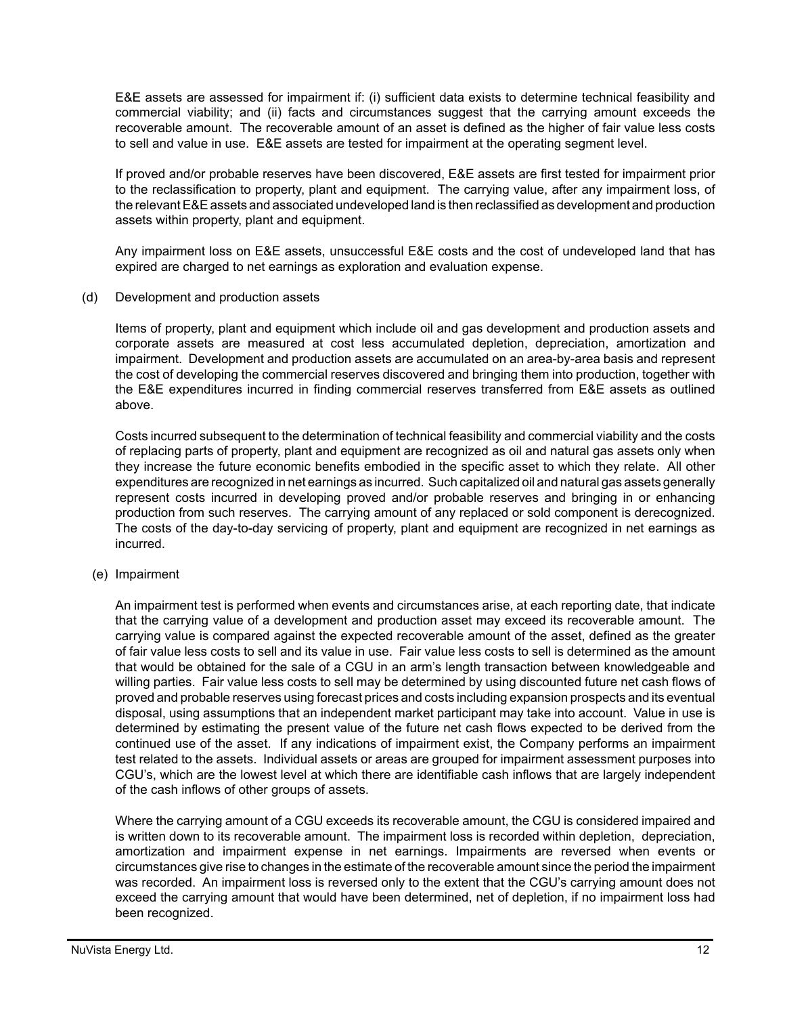E&E assets are assessed for impairment if: (i) sufficient data exists to determine technical feasibility and commercial viability; and (ii) facts and circumstances suggest that the carrying amount exceeds the recoverable amount. The recoverable amount of an asset is defined as the higher of fair value less costs to sell and value in use. E&E assets are tested for impairment at the operating segment level.

If proved and/or probable reserves have been discovered, E&E assets are first tested for impairment prior to the reclassification to property, plant and equipment. The carrying value, after any impairment loss, of the relevant E&E assets and associated undeveloped land is then reclassified as development and production assets within property, plant and equipment.

Any impairment loss on E&E assets, unsuccessful E&E costs and the cost of undeveloped land that has expired are charged to net earnings as exploration and evaluation expense.

(d) Development and production assets

Items of property, plant and equipment which include oil and gas development and production assets and corporate assets are measured at cost less accumulated depletion, depreciation, amortization and impairment. Development and production assets are accumulated on an area-by-area basis and represent the cost of developing the commercial reserves discovered and bringing them into production, together with the E&E expenditures incurred in finding commercial reserves transferred from E&E assets as outlined above.

Costs incurred subsequent to the determination of technical feasibility and commercial viability and the costs of replacing parts of property, plant and equipment are recognized as oil and natural gas assets only when they increase the future economic benefits embodied in the specific asset to which they relate. All other expenditures are recognized in net earnings as incurred. Such capitalized oil and natural gas assets generally represent costs incurred in developing proved and/or probable reserves and bringing in or enhancing production from such reserves. The carrying amount of any replaced or sold component is derecognized. The costs of the day-to-day servicing of property, plant and equipment are recognized in net earnings as incurred.

(e) Impairment

An impairment test is performed when events and circumstances arise, at each reporting date, that indicate that the carrying value of a development and production asset may exceed its recoverable amount. The carrying value is compared against the expected recoverable amount of the asset, defined as the greater of fair value less costs to sell and its value in use. Fair value less costs to sell is determined as the amount that would be obtained for the sale of a CGU in an arm's length transaction between knowledgeable and willing parties. Fair value less costs to sell may be determined by using discounted future net cash flows of proved and probable reserves using forecast prices and costs including expansion prospects and its eventual disposal, using assumptions that an independent market participant may take into account. Value in use is determined by estimating the present value of the future net cash flows expected to be derived from the continued use of the asset. If any indications of impairment exist, the Company performs an impairment test related to the assets. Individual assets or areas are grouped for impairment assessment purposes into CGU's, which are the lowest level at which there are identifiable cash inflows that are largely independent of the cash inflows of other groups of assets.

Where the carrying amount of a CGU exceeds its recoverable amount, the CGU is considered impaired and is written down to its recoverable amount. The impairment loss is recorded within depletion, depreciation, amortization and impairment expense in net earnings. Impairments are reversed when events or circumstances give rise to changes in the estimate of the recoverable amount since the period the impairment was recorded. An impairment loss is reversed only to the extent that the CGU's carrying amount does not exceed the carrying amount that would have been determined, net of depletion, if no impairment loss had been recognized.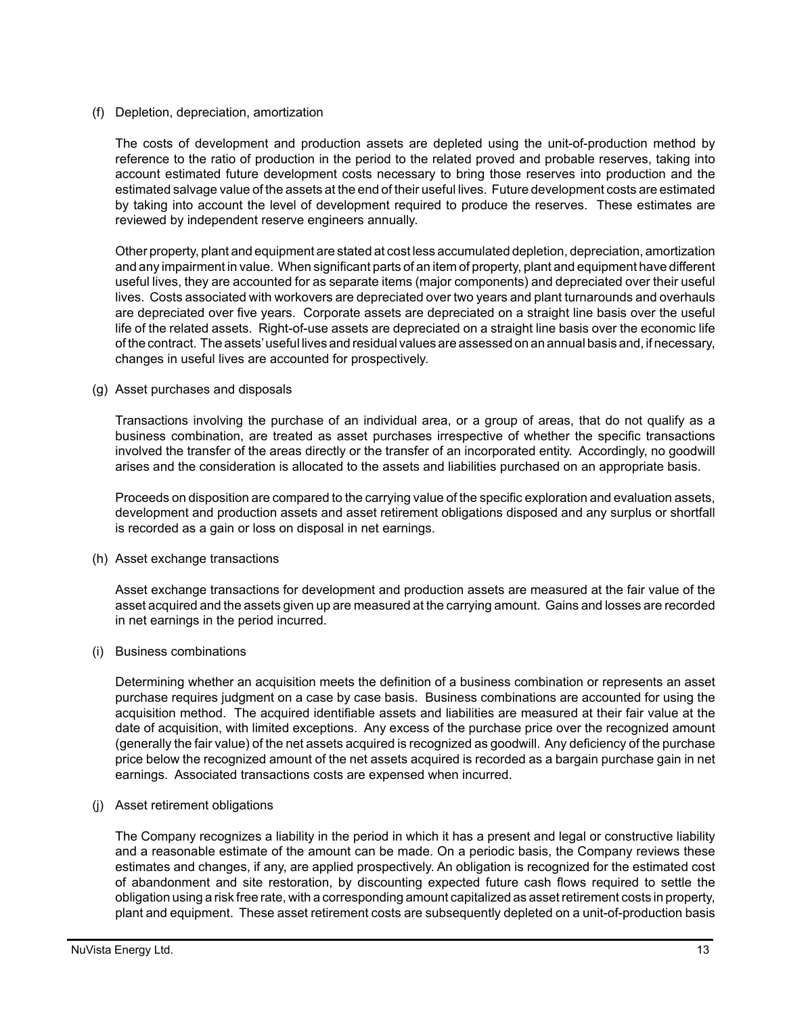#### (f) Depletion, depreciation, amortization

The costs of development and production assets are depleted using the unit-of-production method by reference to the ratio of production in the period to the related proved and probable reserves, taking into account estimated future development costs necessary to bring those reserves into production and the estimated salvage value of the assets at the end of their useful lives. Future development costs are estimated by taking into account the level of development required to produce the reserves. These estimates are reviewed by independent reserve engineers annually.

Other property, plant and equipment are stated at cost less accumulated depletion, depreciation, amortization and any impairment in value. When significant parts of an item of property, plant and equipment have different useful lives, they are accounted for as separate items (major components) and depreciated over their useful lives. Costs associated with workovers are depreciated over two years and plant turnarounds and overhauls are depreciated over five years. Corporate assets are depreciated on a straight line basis over the useful life of the related assets. Right-of-use assets are depreciated on a straight line basis over the economic life of the contract. The assets' useful lives and residual values are assessed on an annual basis and, if necessary, changes in useful lives are accounted for prospectively.

#### (g) Asset purchases and disposals

Transactions involving the purchase of an individual area, or a group of areas, that do not qualify as a business combination, are treated as asset purchases irrespective of whether the specific transactions involved the transfer of the areas directly or the transfer of an incorporated entity. Accordingly, no goodwill arises and the consideration is allocated to the assets and liabilities purchased on an appropriate basis.

Proceeds on disposition are compared to the carrying value of the specific exploration and evaluation assets, development and production assets and asset retirement obligations disposed and any surplus or shortfall is recorded as a gain or loss on disposal in net earnings.

#### (h) Asset exchange transactions

Asset exchange transactions for development and production assets are measured at the fair value of the asset acquired and the assets given up are measured at the carrying amount. Gains and losses are recorded in net earnings in the period incurred.

#### (i) Business combinations

Determining whether an acquisition meets the definition of a business combination or represents an asset purchase requires judgment on a case by case basis. Business combinations are accounted for using the acquisition method. The acquired identifiable assets and liabilities are measured at their fair value at the date of acquisition, with limited exceptions. Any excess of the purchase price over the recognized amount (generally the fair value) of the net assets acquired is recognized as goodwill. Any deficiency of the purchase price below the recognized amount of the net assets acquired is recorded as a bargain purchase gain in net earnings. Associated transactions costs are expensed when incurred.

### (j) Asset retirement obligations

The Company recognizes a liability in the period in which it has a present and legal or constructive liability and a reasonable estimate of the amount can be made. On a periodic basis, the Company reviews these estimates and changes, if any, are applied prospectively. An obligation is recognized for the estimated cost of abandonment and site restoration, by discounting expected future cash flows required to settle the obligation using a risk free rate, with a corresponding amount capitalized as asset retirement costs in property, plant and equipment. These asset retirement costs are subsequently depleted on a unit-of-production basis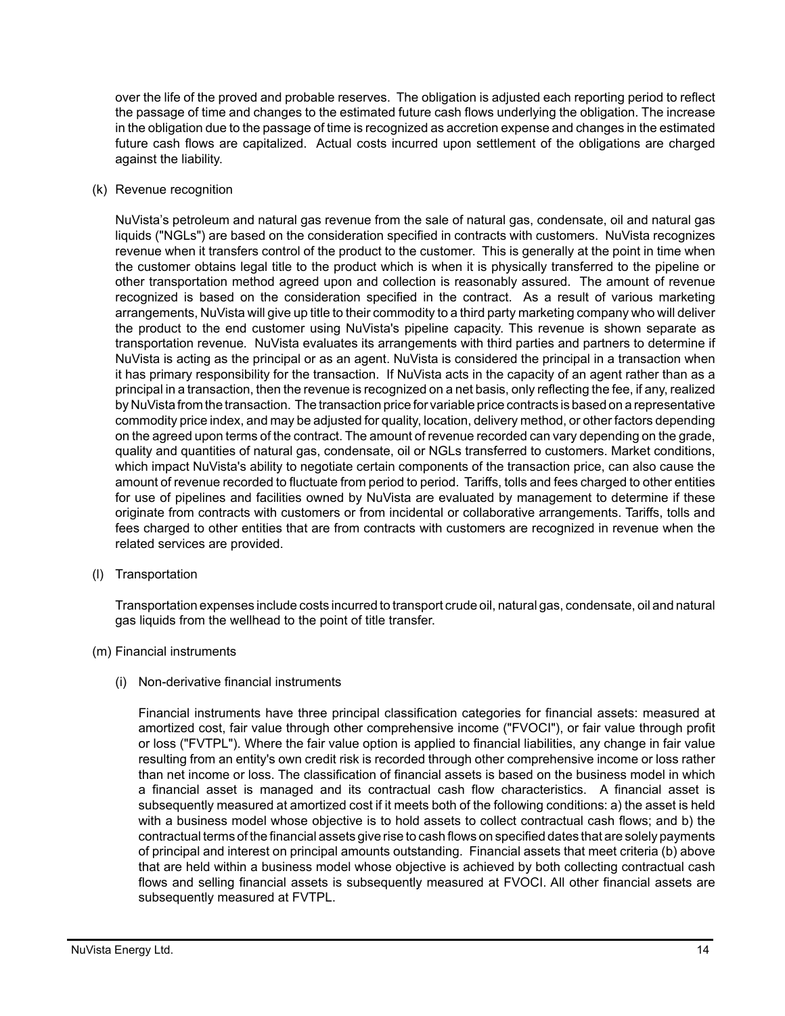over the life of the proved and probable reserves. The obligation is adjusted each reporting period to reflect the passage of time and changes to the estimated future cash flows underlying the obligation. The increase in the obligation due to the passage of time is recognized as accretion expense and changes in the estimated future cash flows are capitalized. Actual costs incurred upon settlement of the obligations are charged against the liability.

### (k) Revenue recognition

NuVista's petroleum and natural gas revenue from the sale of natural gas, condensate, oil and natural gas liquids ("NGLs") are based on the consideration specified in contracts with customers. NuVista recognizes revenue when it transfers control of the product to the customer. This is generally at the point in time when the customer obtains legal title to the product which is when it is physically transferred to the pipeline or other transportation method agreed upon and collection is reasonably assured. The amount of revenue recognized is based on the consideration specified in the contract. As a result of various marketing arrangements, NuVista will give up title to their commodity to a third party marketing company who will deliver the product to the end customer using NuVista's pipeline capacity. This revenue is shown separate as transportation revenue*.* NuVista evaluates its arrangements with third parties and partners to determine if NuVista is acting as the principal or as an agent. NuVista is considered the principal in a transaction when it has primary responsibility for the transaction. If NuVista acts in the capacity of an agent rather than as a principal in a transaction, then the revenue is recognized on a net basis, only reflecting the fee, if any, realized by NuVista from the transaction. The transaction price for variable price contracts is based on a representative commodity price index, and may be adjusted for quality, location, delivery method, or other factors depending on the agreed upon terms of the contract. The amount of revenue recorded can vary depending on the grade, quality and quantities of natural gas, condensate, oil or NGLs transferred to customers. Market conditions, which impact NuVista's ability to negotiate certain components of the transaction price, can also cause the amount of revenue recorded to fluctuate from period to period. Tariffs, tolls and fees charged to other entities for use of pipelines and facilities owned by NuVista are evaluated by management to determine if these originate from contracts with customers or from incidental or collaborative arrangements. Tariffs, tolls and fees charged to other entities that are from contracts with customers are recognized in revenue when the related services are provided.

#### (l) Transportation

Transportation expenses include costs incurred to transport crude oil, natural gas, condensate, oil and natural gas liquids from the wellhead to the point of title transfer.

### (m) Financial instruments

### (i) Non-derivative financial instruments

Financial instruments have three principal classification categories for financial assets: measured at amortized cost, fair value through other comprehensive income ("FVOCI"), or fair value through profit or loss ("FVTPL"). Where the fair value option is applied to financial liabilities, any change in fair value resulting from an entity's own credit risk is recorded through other comprehensive income or loss rather than net income or loss. The classification of financial assets is based on the business model in which a financial asset is managed and its contractual cash flow characteristics. A financial asset is subsequently measured at amortized cost if it meets both of the following conditions: a) the asset is held with a business model whose objective is to hold assets to collect contractual cash flows; and b) the contractual terms of the financial assets give rise to cash flows on specified dates that are solely payments of principal and interest on principal amounts outstanding. Financial assets that meet criteria (b) above that are held within a business model whose objective is achieved by both collecting contractual cash flows and selling financial assets is subsequently measured at FVOCI. All other financial assets are subsequently measured at FVTPL.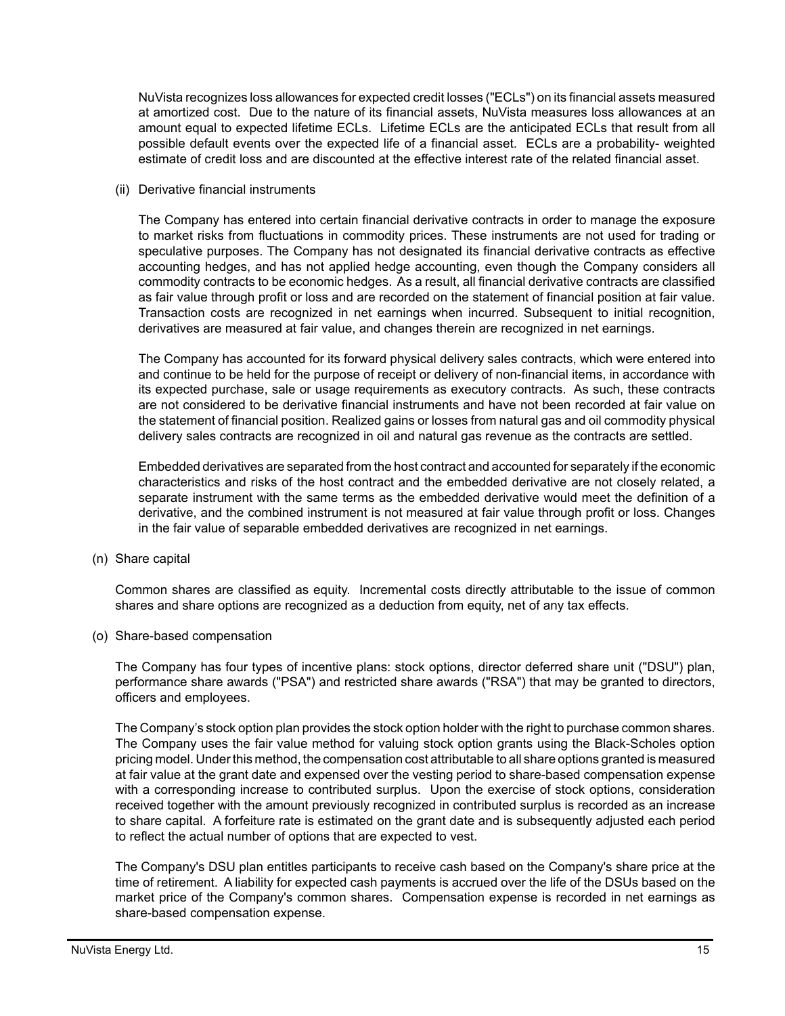NuVista recognizes loss allowances for expected credit losses ("ECLs") on its financial assets measured at amortized cost. Due to the nature of its financial assets, NuVista measures loss allowances at an amount equal to expected lifetime ECLs. Lifetime ECLs are the anticipated ECLs that result from all possible default events over the expected life of a financial asset. ECLs are a probability- weighted estimate of credit loss and are discounted at the effective interest rate of the related financial asset.

(ii) Derivative financial instruments

The Company has entered into certain financial derivative contracts in order to manage the exposure to market risks from fluctuations in commodity prices. These instruments are not used for trading or speculative purposes. The Company has not designated its financial derivative contracts as effective accounting hedges, and has not applied hedge accounting, even though the Company considers all commodity contracts to be economic hedges. As a result, all financial derivative contracts are classified as fair value through profit or loss and are recorded on the statement of financial position at fair value. Transaction costs are recognized in net earnings when incurred. Subsequent to initial recognition, derivatives are measured at fair value, and changes therein are recognized in net earnings.

The Company has accounted for its forward physical delivery sales contracts, which were entered into and continue to be held for the purpose of receipt or delivery of non-financial items, in accordance with its expected purchase, sale or usage requirements as executory contracts. As such, these contracts are not considered to be derivative financial instruments and have not been recorded at fair value on the statement of financial position. Realized gains or losses from natural gas and oil commodity physical delivery sales contracts are recognized in oil and natural gas revenue as the contracts are settled.

Embedded derivatives are separated from the host contract and accounted for separately if the economic characteristics and risks of the host contract and the embedded derivative are not closely related, a separate instrument with the same terms as the embedded derivative would meet the definition of a derivative, and the combined instrument is not measured at fair value through profit or loss. Changes in the fair value of separable embedded derivatives are recognized in net earnings.

(n) Share capital

Common shares are classified as equity. Incremental costs directly attributable to the issue of common shares and share options are recognized as a deduction from equity, net of any tax effects.

(o) Share-based compensation

The Company has four types of incentive plans: stock options, director deferred share unit ("DSU") plan, performance share awards ("PSA") and restricted share awards ("RSA") that may be granted to directors, officers and employees.

The Company's stock option plan provides the stock option holder with the right to purchase common shares. The Company uses the fair value method for valuing stock option grants using the Black-Scholes option pricing model. Under this method, the compensation cost attributable to all share options granted is measured at fair value at the grant date and expensed over the vesting period to share-based compensation expense with a corresponding increase to contributed surplus. Upon the exercise of stock options, consideration received together with the amount previously recognized in contributed surplus is recorded as an increase to share capital. A forfeiture rate is estimated on the grant date and is subsequently adjusted each period to reflect the actual number of options that are expected to vest.

The Company's DSU plan entitles participants to receive cash based on the Company's share price at the time of retirement. A liability for expected cash payments is accrued over the life of the DSUs based on the market price of the Company's common shares. Compensation expense is recorded in net earnings as share-based compensation expense.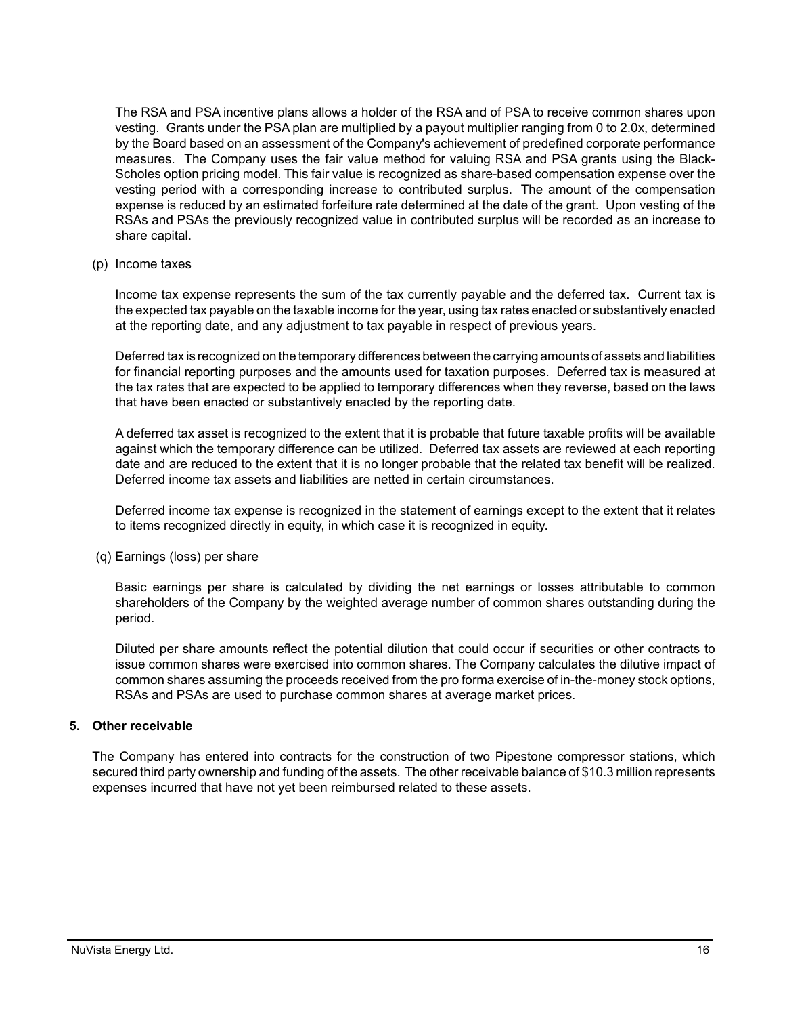The RSA and PSA incentive plans allows a holder of the RSA and of PSA to receive common shares upon vesting. Grants under the PSA plan are multiplied by a payout multiplier ranging from 0 to 2.0x, determined by the Board based on an assessment of the Company's achievement of predefined corporate performance measures. The Company uses the fair value method for valuing RSA and PSA grants using the Black-Scholes option pricing model. This fair value is recognized as share-based compensation expense over the vesting period with a corresponding increase to contributed surplus. The amount of the compensation expense is reduced by an estimated forfeiture rate determined at the date of the grant. Upon vesting of the RSAs and PSAs the previously recognized value in contributed surplus will be recorded as an increase to share capital.

(p) Income taxes

Income tax expense represents the sum of the tax currently payable and the deferred tax. Current tax is the expected tax payable on the taxable income for the year, using tax rates enacted or substantively enacted at the reporting date, and any adjustment to tax payable in respect of previous years.

Deferred tax is recognized on the temporary differences between the carrying amounts of assets and liabilities for financial reporting purposes and the amounts used for taxation purposes. Deferred tax is measured at the tax rates that are expected to be applied to temporary differences when they reverse, based on the laws that have been enacted or substantively enacted by the reporting date.

A deferred tax asset is recognized to the extent that it is probable that future taxable profits will be available against which the temporary difference can be utilized. Deferred tax assets are reviewed at each reporting date and are reduced to the extent that it is no longer probable that the related tax benefit will be realized. Deferred income tax assets and liabilities are netted in certain circumstances.

Deferred income tax expense is recognized in the statement of earnings except to the extent that it relates to items recognized directly in equity, in which case it is recognized in equity.

(q) Earnings (loss) per share

Basic earnings per share is calculated by dividing the net earnings or losses attributable to common shareholders of the Company by the weighted average number of common shares outstanding during the period.

Diluted per share amounts reflect the potential dilution that could occur if securities or other contracts to issue common shares were exercised into common shares. The Company calculates the dilutive impact of common shares assuming the proceeds received from the pro forma exercise of in-the-money stock options, RSAs and PSAs are used to purchase common shares at average market prices.

### **5. Other receivable**

The Company has entered into contracts for the construction of two Pipestone compressor stations, which secured third party ownership and funding of the assets. The other receivable balance of \$10.3 million represents expenses incurred that have not yet been reimbursed related to these assets.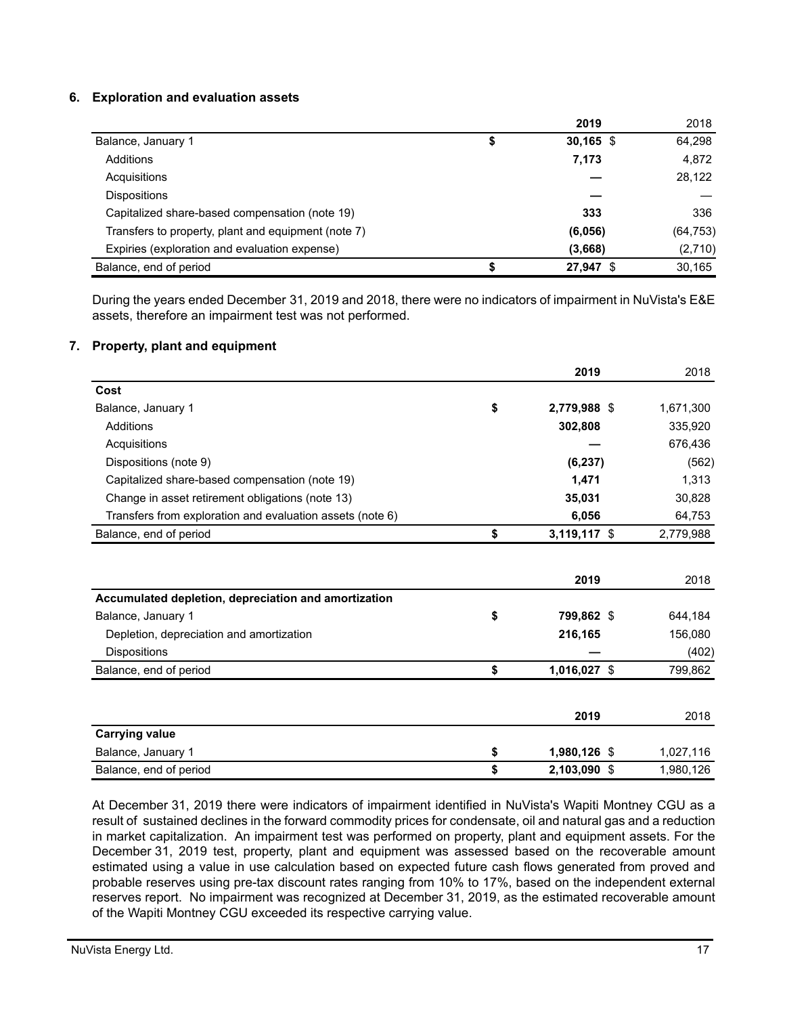### **6. Exploration and evaluation assets**

|                                                     | 2019              | 2018      |
|-----------------------------------------------------|-------------------|-----------|
| Balance, January 1                                  | \$<br>$30,165$ \$ | 64,298    |
| Additions                                           | 7,173             | 4,872     |
| Acquisitions                                        |                   | 28,122    |
| <b>Dispositions</b>                                 |                   |           |
| Capitalized share-based compensation (note 19)      | 333               | 336       |
| Transfers to property, plant and equipment (note 7) | (6,056)           | (64, 753) |
| Expiries (exploration and evaluation expense)       | (3,668)           | (2,710)   |
| Balance, end of period                              | 27,947 \$         | 30,165    |

During the years ended December 31, 2019 and 2018, there were no indicators of impairment in NuVista's E&E assets, therefore an impairment test was not performed.

#### **7. Property, plant and equipment**

|                                                                                                                        | 2019                                | 2018                       |
|------------------------------------------------------------------------------------------------------------------------|-------------------------------------|----------------------------|
| Cost                                                                                                                   |                                     |                            |
| Balance, January 1                                                                                                     | \$<br>2,779,988 \$                  | 1,671,300                  |
| Additions                                                                                                              | 302,808                             | 335,920                    |
| Acquisitions                                                                                                           |                                     | 676,436                    |
| Dispositions (note 9)                                                                                                  | (6, 237)                            | (562)                      |
| Capitalized share-based compensation (note 19)                                                                         | 1,471                               | 1,313                      |
| Change in asset retirement obligations (note 13)                                                                       | 35,031                              | 30,828                     |
| Transfers from exploration and evaluation assets (note 6)                                                              | 6,056                               | 64,753                     |
| Balance, end of period                                                                                                 | \$<br>$3,119,117$ \$                | 2,779,988                  |
| Accumulated depletion, depreciation and amortization<br>Balance, January 1<br>Depletion, depreciation and amortization | \$<br>2019<br>799,862 \$<br>216,165 | 2018<br>644,184<br>156,080 |
| <b>Dispositions</b>                                                                                                    |                                     | (402)                      |
| Balance, end of period                                                                                                 | \$<br>1,016,027 \$                  | 799,862                    |
|                                                                                                                        | 2019                                | 2018                       |
| <b>Carrying value</b>                                                                                                  |                                     |                            |
| Balance, January 1                                                                                                     | \$<br>1,980,126 \$                  | 1,027,116                  |
| Balance, end of period                                                                                                 | \$<br>2,103,090 \$                  | 1,980,126                  |

At December 31, 2019 there were indicators of impairment identified in NuVista's Wapiti Montney CGU as a result of sustained declines in the forward commodity prices for condensate, oil and natural gas and a reduction in market capitalization. An impairment test was performed on property, plant and equipment assets. For the December 31, 2019 test, property, plant and equipment was assessed based on the recoverable amount estimated using a value in use calculation based on expected future cash flows generated from proved and probable reserves using pre-tax discount rates ranging from 10% to 17%, based on the independent external reserves report. No impairment was recognized at December 31, 2019, as the estimated recoverable amount of the Wapiti Montney CGU exceeded its respective carrying value.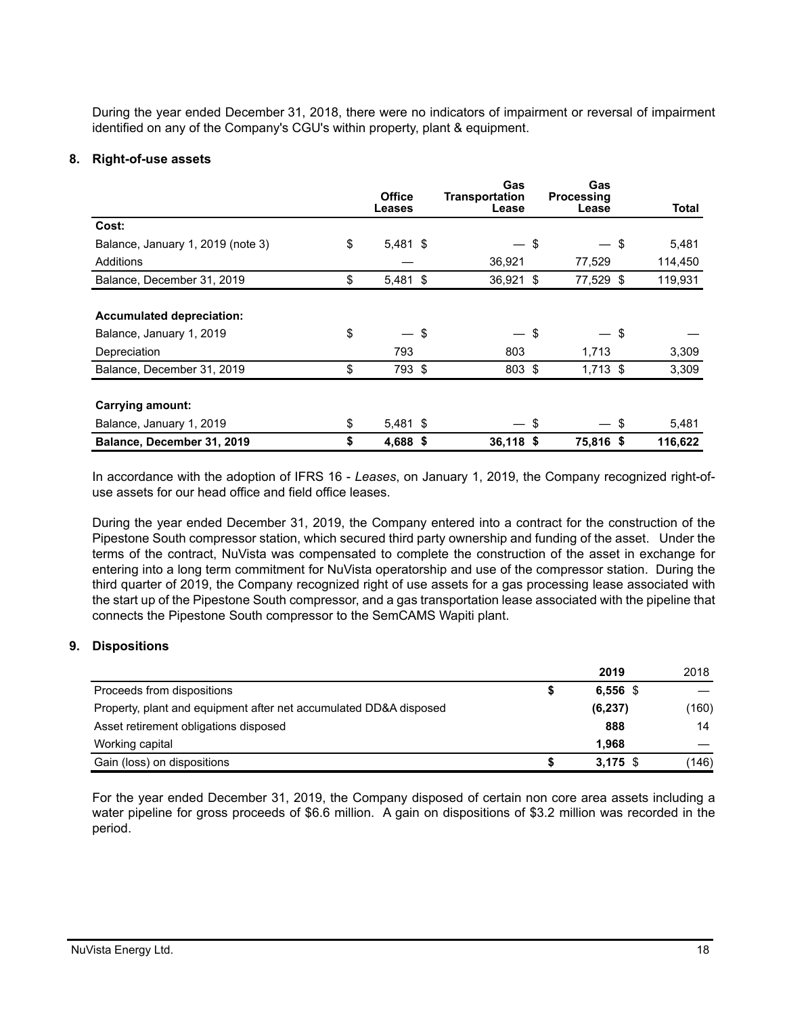During the year ended December 31, 2018, there were no indicators of impairment or reversal of impairment identified on any of the Company's CGU's within property, plant & equipment.

### **8. Right-of-use assets**

|                                   | <b>Office</b>    |     | Gas<br><b>Transportation</b> |     | Gas<br><b>Processing</b> |              |
|-----------------------------------|------------------|-----|------------------------------|-----|--------------------------|--------------|
|                                   | Leases           |     | Lease                        |     | Lease                    | <b>Total</b> |
| Cost:                             |                  |     |                              |     |                          |              |
| Balance, January 1, 2019 (note 3) | \$<br>$5,481$ \$ |     |                              | \$  | — \$                     | 5,481        |
| Additions                         |                  |     | 36,921                       |     | 77,529                   | 114,450      |
| Balance, December 31, 2019        | \$<br>$5,481$ \$ |     | 36,921 \$                    |     | 77,529 \$                | 119,931      |
|                                   |                  |     |                              |     |                          |              |
| <b>Accumulated depreciation:</b>  |                  |     |                              |     |                          |              |
| Balance, January 1, 2019          | \$               | -\$ |                              | \$  |                          | \$           |
| Depreciation                      | 793              |     | 803                          |     | 1,713                    | 3,309        |
| Balance, December 31, 2019        | \$<br>793 \$     |     | 803 \$                       |     | $1,713$ \$               | 3,309        |
|                                   |                  |     |                              |     |                          |              |
| Carrying amount:                  |                  |     |                              |     |                          |              |
| Balance, January 1, 2019          | \$<br>$5,481$ \$ |     |                              | -\$ |                          | \$<br>5,481  |
| Balance, December 31, 2019        | \$<br>4,688 \$   |     | 36,118 \$                    |     | 75,816 \$                | 116,622      |

In accordance with the adoption of IFRS 16 - *Leases*, on January 1, 2019, the Company recognized right-ofuse assets for our head office and field office leases.

During the year ended December 31, 2019, the Company entered into a contract for the construction of the Pipestone South compressor station, which secured third party ownership and funding of the asset. Under the terms of the contract, NuVista was compensated to complete the construction of the asset in exchange for entering into a long term commitment for NuVista operatorship and use of the compressor station. During the third quarter of 2019, the Company recognized right of use assets for a gas processing lease associated with the start up of the Pipestone South compressor, and a gas transportation lease associated with the pipeline that connects the Pipestone South compressor to the SemCAMS Wapiti plant.

### **9. Dispositions**

|                                                                   | 2019       | 2018  |
|-------------------------------------------------------------------|------------|-------|
| Proceeds from dispositions                                        | $6,556$ \$ |       |
| Property, plant and equipment after net accumulated DD&A disposed | (6, 237)   | (160) |
| Asset retirement obligations disposed                             | 888        | 14    |
| Working capital                                                   | 1,968      |       |
| Gain (loss) on dispositions                                       | $3.175$ \$ | (146) |

For the year ended December 31, 2019, the Company disposed of certain non core area assets including a water pipeline for gross proceeds of \$6.6 million. A gain on dispositions of \$3.2 million was recorded in the period.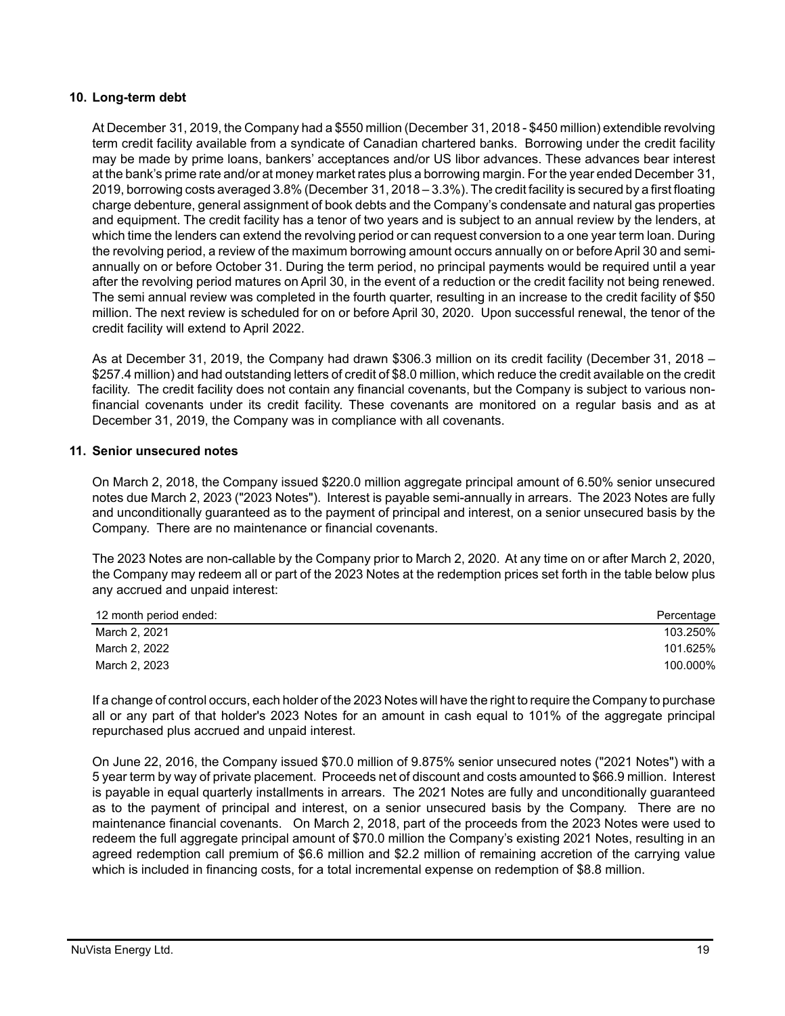### **10. Long-term debt**

At December 31, 2019, the Company had a \$550 million (December 31, 2018 - \$450 million) extendible revolving term credit facility available from a syndicate of Canadian chartered banks. Borrowing under the credit facility may be made by prime loans, bankers' acceptances and/or US libor advances. These advances bear interest at the bank's prime rate and/or at money market rates plus a borrowing margin. For the year ended December 31, 2019, borrowing costs averaged 3.8% (December 31, 2018 – 3.3%). The credit facility is secured by a first floating charge debenture, general assignment of book debts and the Company's condensate and natural gas properties and equipment. The credit facility has a tenor of two years and is subject to an annual review by the lenders, at which time the lenders can extend the revolving period or can request conversion to a one year term loan. During the revolving period, a review of the maximum borrowing amount occurs annually on or before April 30 and semiannually on or before October 31. During the term period, no principal payments would be required until a year after the revolving period matures on April 30, in the event of a reduction or the credit facility not being renewed. The semi annual review was completed in the fourth quarter, resulting in an increase to the credit facility of \$50 million. The next review is scheduled for on or before April 30, 2020. Upon successful renewal, the tenor of the credit facility will extend to April 2022.

As at December 31, 2019, the Company had drawn \$306.3 million on its credit facility (December 31, 2018 – \$257.4 million) and had outstanding letters of credit of \$8.0 million, which reduce the credit available on the credit facility. The credit facility does not contain any financial covenants, but the Company is subject to various nonfinancial covenants under its credit facility. These covenants are monitored on a regular basis and as at December 31, 2019, the Company was in compliance with all covenants.

### **11. Senior unsecured notes**

On March 2, 2018, the Company issued \$220.0 million aggregate principal amount of 6.50% senior unsecured notes due March 2, 2023 ("2023 Notes"). Interest is payable semi-annually in arrears. The 2023 Notes are fully and unconditionally guaranteed as to the payment of principal and interest, on a senior unsecured basis by the Company. There are no maintenance or financial covenants.

The 2023 Notes are non-callable by the Company prior to March 2, 2020. At any time on or after March 2, 2020, the Company may redeem all or part of the 2023 Notes at the redemption prices set forth in the table below plus any accrued and unpaid interest:

| 12 month period ended: | Percentage |
|------------------------|------------|
| March 2, 2021          | 103.250%   |
| March 2, 2022          | 101.625%   |
| March 2, 2023          | 100.000%   |

If a change of control occurs, each holder of the 2023 Notes will have the right to require the Company to purchase all or any part of that holder's 2023 Notes for an amount in cash equal to 101% of the aggregate principal repurchased plus accrued and unpaid interest.

On June 22, 2016, the Company issued \$70.0 million of 9.875% senior unsecured notes ("2021 Notes") with a 5 year term by way of private placement. Proceeds net of discount and costs amounted to \$66.9 million. Interest is payable in equal quarterly installments in arrears. The 2021 Notes are fully and unconditionally guaranteed as to the payment of principal and interest, on a senior unsecured basis by the Company. There are no maintenance financial covenants. On March 2, 2018, part of the proceeds from the 2023 Notes were used to redeem the full aggregate principal amount of \$70.0 million the Company's existing 2021 Notes, resulting in an agreed redemption call premium of \$6.6 million and \$2.2 million of remaining accretion of the carrying value which is included in financing costs, for a total incremental expense on redemption of \$8.8 million.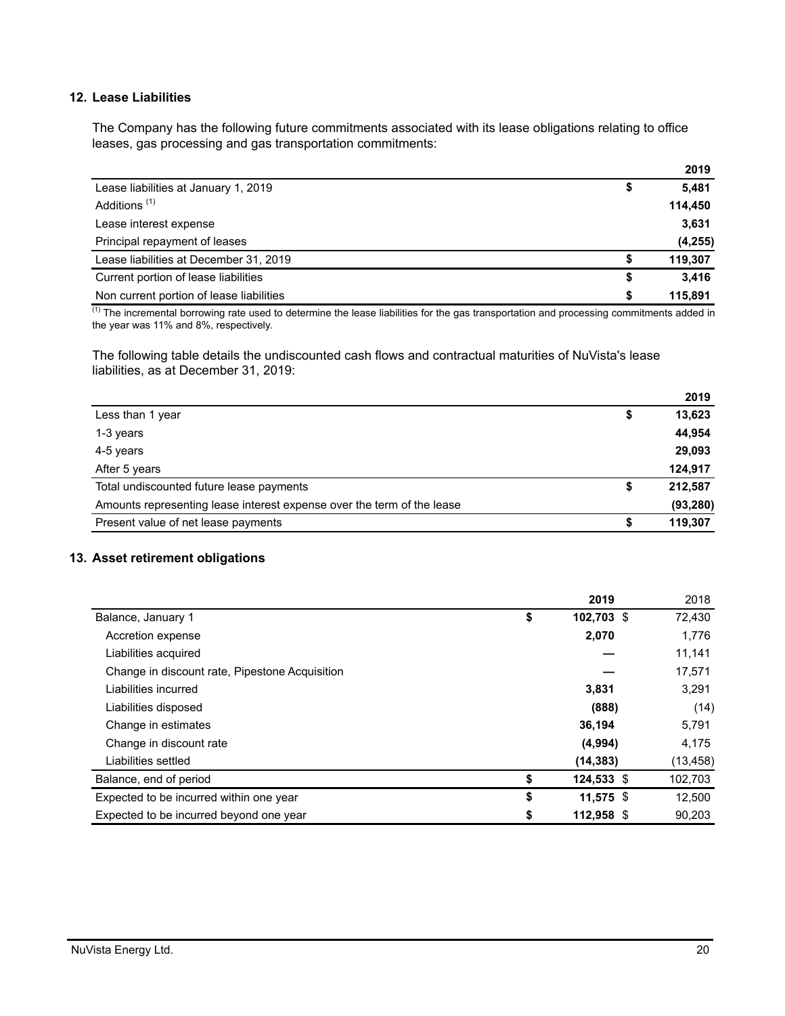### **12. Lease Liabilities**

The Company has the following future commitments associated with its lease obligations relating to office leases, gas processing and gas transportation commitments:

|                                          |    | 2019     |
|------------------------------------------|----|----------|
| Lease liabilities at January 1, 2019     | ₽  | 5,481    |
| Additions <sup>(1)</sup>                 |    | 114,450  |
| Lease interest expense                   |    | 3,631    |
| Principal repayment of leases            |    | (4, 255) |
| Lease liabilities at December 31, 2019   | S  | 119,307  |
| Current portion of lease liabilities     | \$ | 3.416    |
| Non current portion of lease liabilities | S  | 115.891  |

 $\overline{^{(1)}}$  The incremental borrowing rate used to determine the lease liabilities for the gas transportation and processing commitments added in the year was 11% and 8%, respectively.

The following table details the undiscounted cash flows and contractual maturities of NuVista's lease liabilities, as at December 31, 2019:

| 13,623<br>Less than 1 year<br>\$<br>44,954<br>1-3 years<br>29,093<br>4-5 years<br>124,917<br>After 5 years<br>212.587<br>Total undiscounted future lease payments<br>5<br>Amounts representing lease interest expense over the term of the lease<br>119,307<br>Present value of net lease payments<br>S |  | 2019      |
|---------------------------------------------------------------------------------------------------------------------------------------------------------------------------------------------------------------------------------------------------------------------------------------------------------|--|-----------|
|                                                                                                                                                                                                                                                                                                         |  |           |
|                                                                                                                                                                                                                                                                                                         |  |           |
|                                                                                                                                                                                                                                                                                                         |  |           |
|                                                                                                                                                                                                                                                                                                         |  |           |
|                                                                                                                                                                                                                                                                                                         |  |           |
|                                                                                                                                                                                                                                                                                                         |  | (93, 280) |
|                                                                                                                                                                                                                                                                                                         |  |           |

#### **13. Asset retirement obligations**

|                                                | 2019               | 2018      |
|------------------------------------------------|--------------------|-----------|
| Balance, January 1                             | \$<br>102,703 \$   | 72,430    |
| Accretion expense                              | 2,070              | 1,776     |
| Liabilities acquired                           |                    | 11,141    |
| Change in discount rate, Pipestone Acquisition |                    | 17,571    |
| Liabilities incurred                           | 3,831              | 3,291     |
| Liabilities disposed                           | (888)              | (14)      |
| Change in estimates                            | 36,194             | 5,791     |
| Change in discount rate                        | (4,994)            | 4,175     |
| Liabilities settled                            | (14, 383)          | (13, 458) |
| Balance, end of period                         | \$<br>$124,533$ \$ | 102,703   |
| Expected to be incurred within one year        | \$<br>$11,575$ \$  | 12,500    |
| Expected to be incurred beyond one year        | \$<br>112.958 \$   | 90.203    |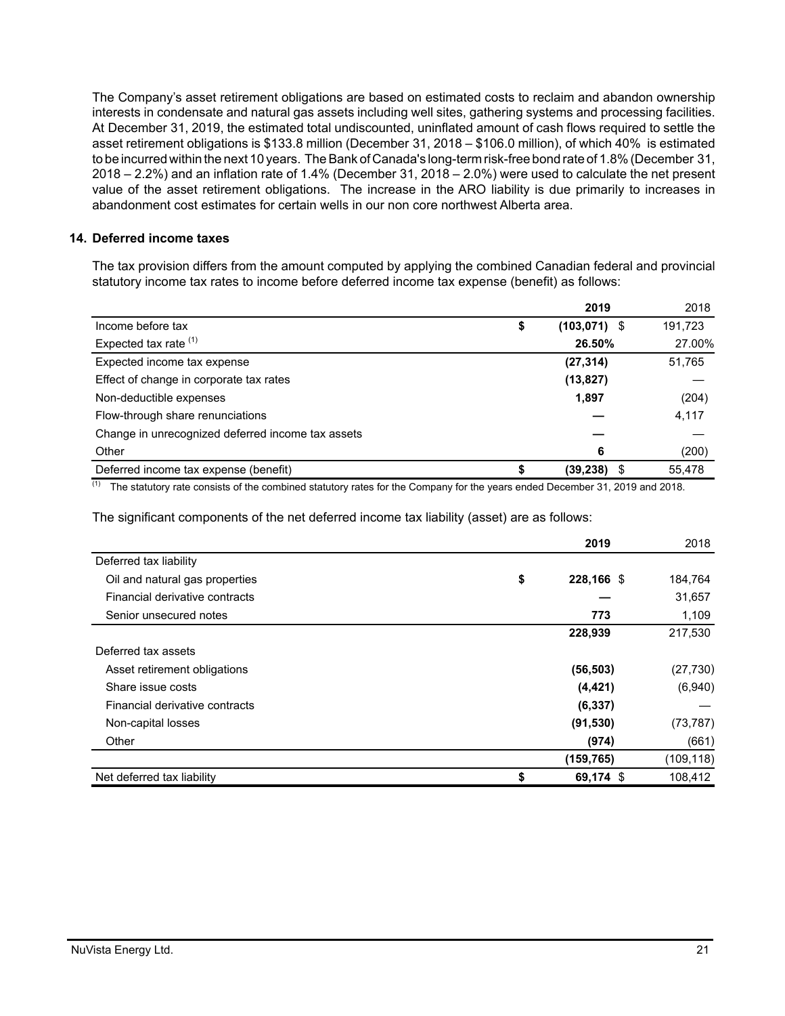The Company's asset retirement obligations are based on estimated costs to reclaim and abandon ownership interests in condensate and natural gas assets including well sites, gathering systems and processing facilities. At December 31, 2019, the estimated total undiscounted, uninflated amount of cash flows required to settle the asset retirement obligations is \$133.8 million (December 31, 2018 – \$106.0 million), of which 40% is estimated to be incurred within the next 10 years. The Bank of Canada's long-term risk-free bond rate of 1.8% (December 31, 2018 – 2.2%) and an inflation rate of 1.4% (December 31, 2018 – 2.0%) were used to calculate the net present value of the asset retirement obligations. The increase in the ARO liability is due primarily to increases in abandonment cost estimates for certain wells in our non core northwest Alberta area.

#### **14. Deferred income taxes**

The tax provision differs from the amount computed by applying the combined Canadian federal and provincial statutory income tax rates to income before deferred income tax expense (benefit) as follows:

|                                                   | 2019                  | 2018    |
|---------------------------------------------------|-----------------------|---------|
| Income before tax                                 | \$<br>$(103, 071)$ \$ | 191,723 |
| Expected tax rate $(1)$                           | 26.50%                | 27.00%  |
| Expected income tax expense                       | (27, 314)             | 51,765  |
| Effect of change in corporate tax rates           | (13, 827)             |         |
| Non-deductible expenses                           | 1,897                 | (204)   |
| Flow-through share renunciations                  |                       | 4,117   |
| Change in unrecognized deferred income tax assets |                       |         |
| Other                                             | 6                     | (200)   |
| Deferred income tax expense (benefit)             | (39, 238)             | 55.478  |

 $(1)$  The statutory rate consists of the combined statutory rates for the Company for the years ended December 31, 2019 and 2018.

The significant components of the net deferred income tax liability (asset) are as follows:

|                                | 2019             | 2018       |
|--------------------------------|------------------|------------|
| Deferred tax liability         |                  |            |
| Oil and natural gas properties | \$<br>228,166 \$ | 184,764    |
| Financial derivative contracts |                  | 31,657     |
| Senior unsecured notes         | 773              | 1,109      |
|                                | 228,939          | 217,530    |
| Deferred tax assets            |                  |            |
| Asset retirement obligations   | (56, 503)        | (27, 730)  |
| Share issue costs              | (4, 421)         | (6,940)    |
| Financial derivative contracts | (6, 337)         |            |
| Non-capital losses             | (91, 530)        | (73, 787)  |
| Other                          | (974)            | (661)      |
|                                | (159, 765)       | (109, 118) |
| Net deferred tax liability     | \$<br>69,174 \$  | 108,412    |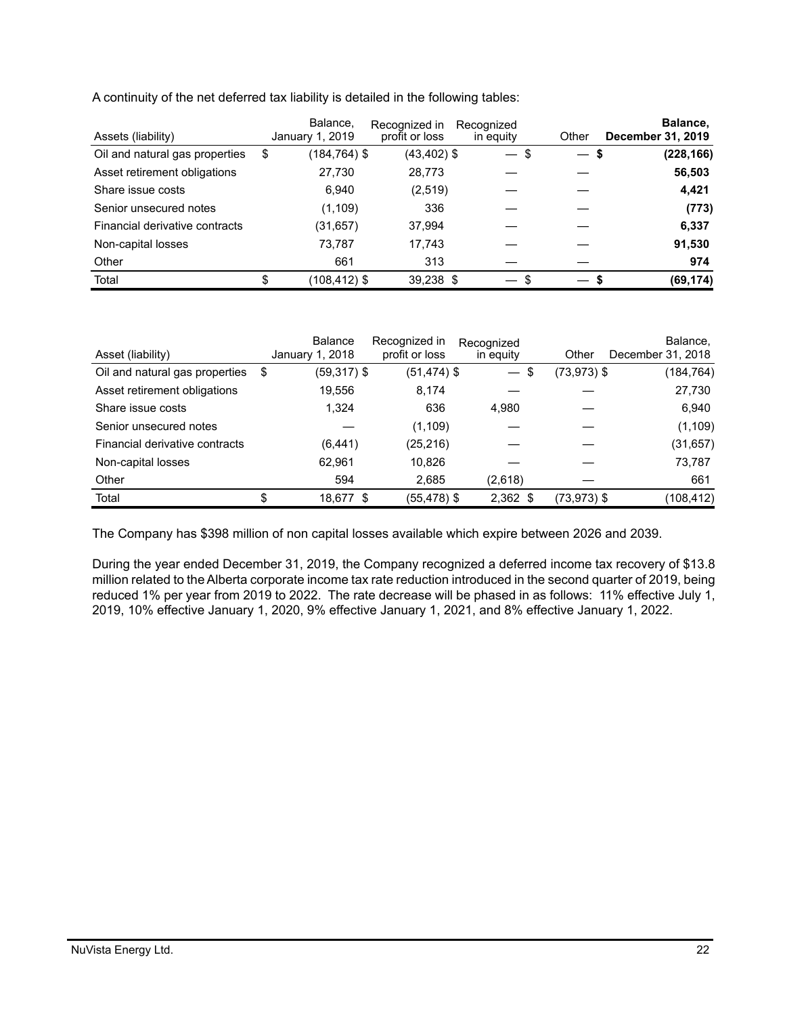A continuity of the net deferred tax liability is detailed in the following tables:

| Assets (liability)             |    | Balance.<br>January 1, 2019 | Recognized in<br>profit or loss | Recognized<br>in equity  | Other                | Balance,<br>December 31, 2019 |
|--------------------------------|----|-----------------------------|---------------------------------|--------------------------|----------------------|-------------------------------|
| Oil and natural gas properties | \$ | $(184, 764)$ \$             | $(43, 402)$ \$                  | $\qquad \qquad -$        | -\$<br>$\frac{1}{2}$ | (228, 166)<br>\$              |
| Asset retirement obligations   |    | 27,730                      | 28,773                          |                          |                      | 56,503                        |
| Share issue costs              |    | 6,940                       | (2,519)                         |                          |                      | 4,421                         |
| Senior unsecured notes         |    | (1, 109)                    | 336                             |                          |                      | (773)                         |
| Financial derivative contracts |    | (31, 657)                   | 37,994                          |                          |                      | 6,337                         |
| Non-capital losses             |    | 73.787                      | 17,743                          |                          |                      | 91,530                        |
| Other                          |    | 661                         | 313                             |                          |                      | 974                           |
| Total                          | S  | $(108, 412)$ \$             | 39,238 \$                       | $\overline{\phantom{0}}$ |                      | (69, 174)                     |

| Asset (liability)              |      | Balance<br>January 1, 2018 | Recognized in<br>profit or loss | Recognized<br>in equity | Other                | Balance,<br>December 31, 2018 |
|--------------------------------|------|----------------------------|---------------------------------|-------------------------|----------------------|-------------------------------|
| Oil and natural gas properties | - \$ | $(59,317)$ \$              | $(51, 474)$ \$                  | $\qquad \qquad -$       | $(73, 973)$ \$<br>\$ | (184, 764)                    |
| Asset retirement obligations   |      | 19,556                     | 8,174                           |                         |                      | 27,730                        |
| Share issue costs              |      | 1,324                      | 636                             | 4.980                   |                      | 6,940                         |
| Senior unsecured notes         |      |                            | (1, 109)                        |                         |                      | (1, 109)                      |
| Financial derivative contracts |      | (6, 441)                   | (25, 216)                       |                         |                      | (31, 657)                     |
| Non-capital losses             |      | 62,961                     | 10,826                          |                         |                      | 73,787                        |
| Other                          |      | 594                        | 2,685                           | (2,618)                 |                      | 661                           |
| Total                          | \$   | 18,677 \$                  | (55,478) \$                     | $2,362$ \$              | (73,973) \$          | (108, 412)                    |

The Company has \$398 million of non capital losses available which expire between 2026 and 2039.

During the year ended December 31, 2019, the Company recognized a deferred income tax recovery of \$13.8 million related to the Alberta corporate income tax rate reduction introduced in the second quarter of 2019, being reduced 1% per year from 2019 to 2022. The rate decrease will be phased in as follows: 11% effective July 1, 2019, 10% effective January 1, 2020, 9% effective January 1, 2021, and 8% effective January 1, 2022.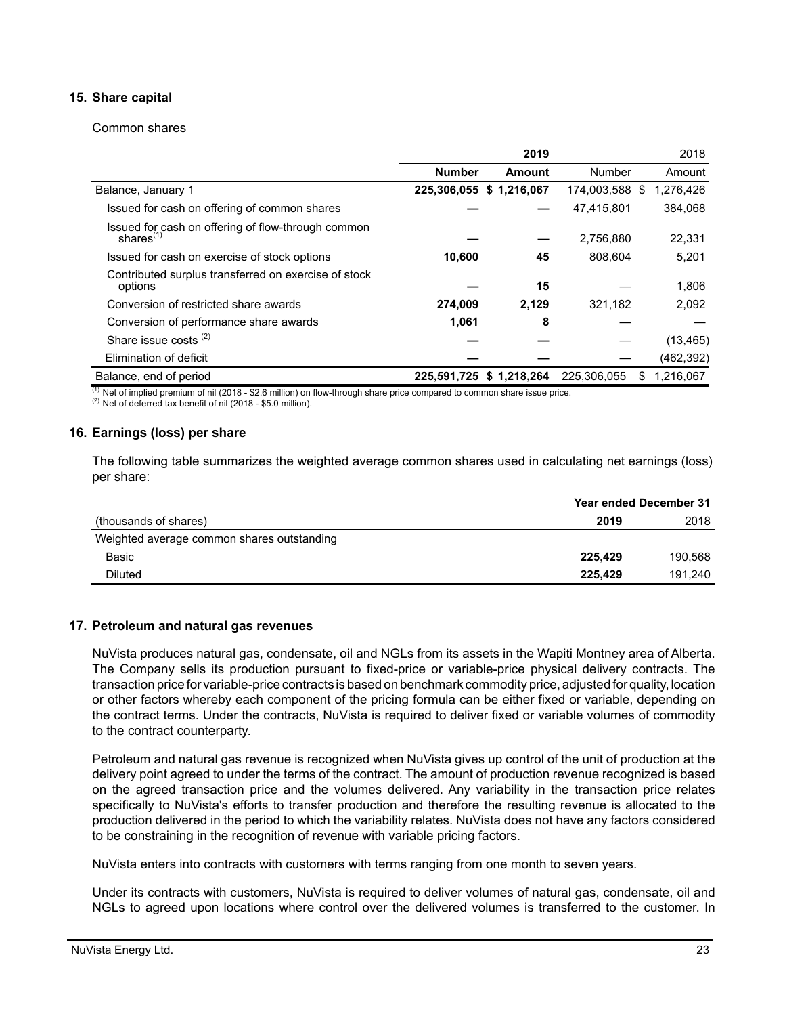# **15. Share capital**

#### Common shares

|                                                                    |                         | 2019        |                |   | 2018      |
|--------------------------------------------------------------------|-------------------------|-------------|----------------|---|-----------|
|                                                                    | <b>Number</b>           | Amount      | Number         |   | Amount    |
| Balance, January 1                                                 | 225,306,055 \$1,216,067 |             | 174,003,588 \$ |   | 1,276,426 |
| Issued for cash on offering of common shares                       |                         |             | 47,415,801     |   | 384,068   |
| Issued for cash on offering of flow-through common<br>shares $(1)$ |                         |             | 2,756,880      |   | 22,331    |
| Issued for cash on exercise of stock options                       | 10,600                  | 45          | 808.604        |   | 5,201     |
| Contributed surplus transferred on exercise of stock<br>options    |                         | 15          |                |   | 1,806     |
| Conversion of restricted share awards                              | 274,009                 | 2,129       | 321,182        |   | 2,092     |
| Conversion of performance share awards                             | 1.061                   | 8           |                |   |           |
| Share issue costs <sup>(2)</sup>                                   |                         |             |                |   | (13, 465) |
| Elimination of deficit                                             |                         |             |                |   | (462,392) |
| Balance, end of period                                             | 225.591.725             | \$1,218,264 | 225.306.055    | S | 1.216.067 |

 $<sup>(1)</sup>$  Net of implied premium of nil (2018 - \$2.6 million) on flow-through share price compared to common share issue price.</sup>

(2) Net of deferred tax benefit of nil (2018 - \$5.0 million).

#### **16. Earnings (loss) per share**

The following table summarizes the weighted average common shares used in calculating net earnings (loss) per share:

|                                            | <b>Year ended December 31</b> |         |
|--------------------------------------------|-------------------------------|---------|
| (thousands of shares)                      | 2019                          | 2018    |
| Weighted average common shares outstanding |                               |         |
| Basic                                      | 225.429                       | 190.568 |
| Diluted                                    | 225.429                       | 191.240 |

### **17. Petroleum and natural gas revenues**

NuVista produces natural gas, condensate, oil and NGLs from its assets in the Wapiti Montney area of Alberta. The Company sells its production pursuant to fixed-price or variable-price physical delivery contracts. The transaction price for variable-price contracts is based on benchmark commodity price, adjusted for quality, location or other factors whereby each component of the pricing formula can be either fixed or variable, depending on the contract terms. Under the contracts, NuVista is required to deliver fixed or variable volumes of commodity to the contract counterparty.

Petroleum and natural gas revenue is recognized when NuVista gives up control of the unit of production at the delivery point agreed to under the terms of the contract. The amount of production revenue recognized is based on the agreed transaction price and the volumes delivered. Any variability in the transaction price relates specifically to NuVista's efforts to transfer production and therefore the resulting revenue is allocated to the production delivered in the period to which the variability relates. NuVista does not have any factors considered to be constraining in the recognition of revenue with variable pricing factors.

NuVista enters into contracts with customers with terms ranging from one month to seven years.

Under its contracts with customers, NuVista is required to deliver volumes of natural gas, condensate, oil and NGLs to agreed upon locations where control over the delivered volumes is transferred to the customer. In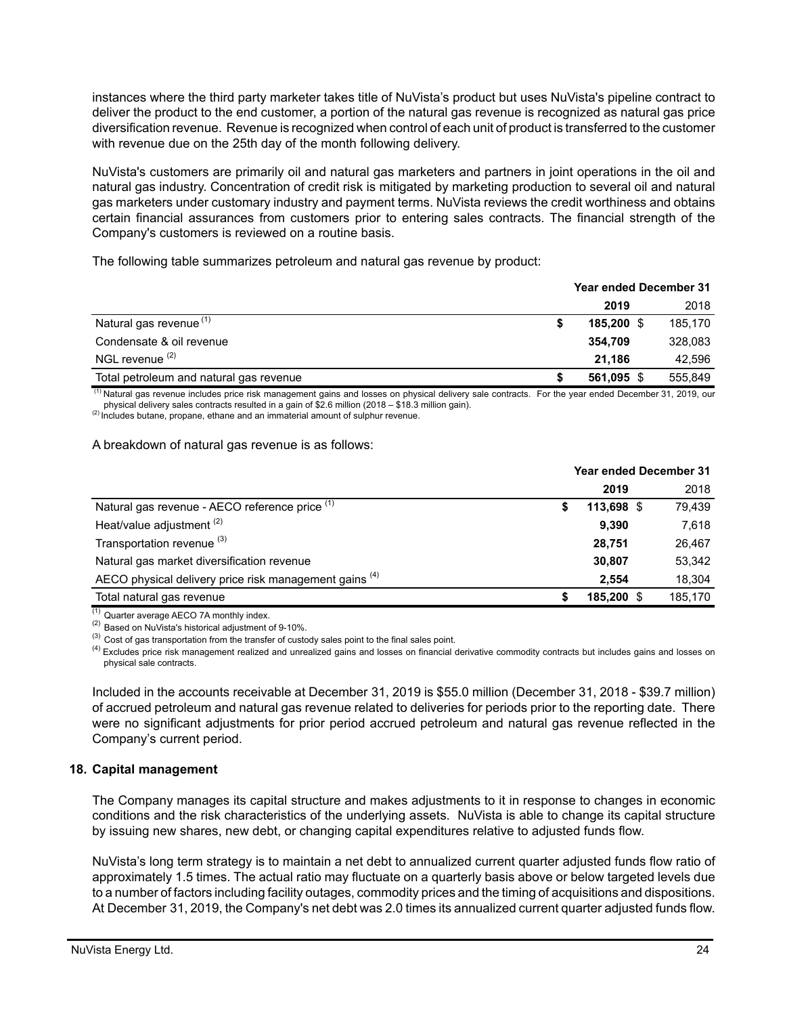instances where the third party marketer takes title of NuVista's product but uses NuVista's pipeline contract to deliver the product to the end customer, a portion of the natural gas revenue is recognized as natural gas price diversification revenue. Revenue is recognized when control of each unit of product is transferred to the customer with revenue due on the 25th day of the month following delivery.

NuVista's customers are primarily oil and natural gas marketers and partners in joint operations in the oil and natural gas industry. Concentration of credit risk is mitigated by marketing production to several oil and natural gas marketers under customary industry and payment terms. NuVista reviews the credit worthiness and obtains certain financial assurances from customers prior to entering sales contracts. The financial strength of the Company's customers is reviewed on a routine basis.

The following table summarizes petroleum and natural gas revenue by product:

|                                         | <b>Year ended December 31</b> |         |
|-----------------------------------------|-------------------------------|---------|
|                                         | 2019                          | 2018    |
| Natural gas revenue <sup>(1)</sup>      | 185,200 \$                    | 185,170 |
| Condensate & oil revenue                | 354.709                       | 328,083 |
| NGL revenue <sup>(2)</sup>              | 21.186                        | 42.596  |
| Total petroleum and natural gas revenue | 561.095 \$                    | 555.849 |

 $<sup>(1)</sup>$  Natural gas revenue includes price risk management gains and losses on physical delivery sale contracts. For the year ended December 31, 2019, our</sup> physical delivery sales contracts resulted in a gain of \$2.6 million (2018 – \$18.3 million gain).

(2) Includes butane, propane, ethane and an immaterial amount of sulphur revenue.

#### A breakdown of natural gas revenue is as follows:

|                                                        | <b>Year ended December 31</b> |            |         |  |
|--------------------------------------------------------|-------------------------------|------------|---------|--|
|                                                        |                               | 2019       | 2018    |  |
| Natural gas revenue - AECO reference price (1)         |                               | 113,698 \$ | 79.439  |  |
| Heat/value adjustment <sup>(2)</sup>                   |                               | 9,390      | 7,618   |  |
| Transportation revenue <sup>(3)</sup>                  |                               | 28.751     | 26.467  |  |
| Natural gas market diversification revenue             |                               | 30.807     | 53.342  |  |
| AECO physical delivery price risk management gains (4) |                               | 2.554      | 18,304  |  |
| Total natural gas revenue                              |                               | 185,200 \$ | 185.170 |  |

 $(1)$  Quarter average AECO 7A monthly index.

(2) Based on NuVista's historical adjustment of 9-10%.

 $^{(3)}$  Cost of gas transportation from the transfer of custody sales point to the final sales point.

<sup>(4)</sup> Excludes price risk management realized and unrealized gains and losses on financial derivative commodity contracts but includes gains and losses on physical sale contracts.

Included in the accounts receivable at December 31, 2019 is \$55.0 million (December 31, 2018 - \$39.7 million) of accrued petroleum and natural gas revenue related to deliveries for periods prior to the reporting date. There were no significant adjustments for prior period accrued petroleum and natural gas revenue reflected in the Company's current period.

#### **18. Capital management**

The Company manages its capital structure and makes adjustments to it in response to changes in economic conditions and the risk characteristics of the underlying assets. NuVista is able to change its capital structure by issuing new shares, new debt, or changing capital expenditures relative to adjusted funds flow.

NuVista's long term strategy is to maintain a net debt to annualized current quarter adjusted funds flow ratio of approximately 1.5 times. The actual ratio may fluctuate on a quarterly basis above or below targeted levels due to a number of factors including facility outages, commodity prices and the timing of acquisitions and dispositions. At December 31, 2019, the Company's net debt was 2.0 times its annualized current quarter adjusted funds flow.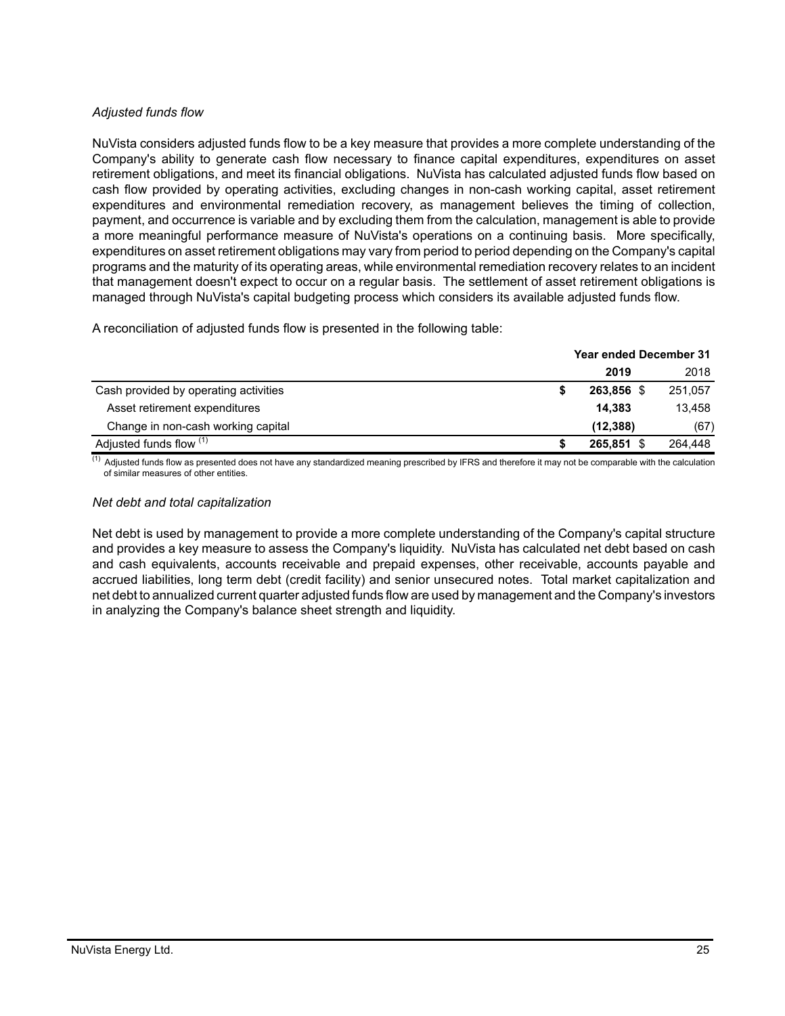# *Adjusted funds flow*

NuVista considers adjusted funds flow to be a key measure that provides a more complete understanding of the Company's ability to generate cash flow necessary to finance capital expenditures, expenditures on asset retirement obligations, and meet its financial obligations. NuVista has calculated adjusted funds flow based on cash flow provided by operating activities, excluding changes in non-cash working capital, asset retirement expenditures and environmental remediation recovery, as management believes the timing of collection, payment, and occurrence is variable and by excluding them from the calculation, management is able to provide a more meaningful performance measure of NuVista's operations on a continuing basis. More specifically, expenditures on asset retirement obligations may vary from period to period depending on the Company's capital programs and the maturity of its operating areas, while environmental remediation recovery relates to an incident that management doesn't expect to occur on a regular basis. The settlement of asset retirement obligations is managed through NuVista's capital budgeting process which considers its available adjusted funds flow.

A reconciliation of adjusted funds flow is presented in the following table:

|                                       | <b>Year ended December 31</b> |            |         |  |
|---------------------------------------|-------------------------------|------------|---------|--|
|                                       |                               | 2019       | 2018    |  |
| Cash provided by operating activities |                               | 263,856 \$ | 251,057 |  |
| Asset retirement expenditures         |                               | 14.383     | 13.458  |  |
| Change in non-cash working capital    |                               | (12, 388)  | (67)    |  |
| Adjusted funds flow (1)               | w                             | 265.851 \$ | 264.448 |  |

 $<sup>(1)</sup>$  Adjusted funds flow as presented does not have any standardized meaning prescribed by IFRS and therefore it may not be comparable with the calculation</sup> of similar measures of other entities.

### *Net debt and total capitalization*

Net debt is used by management to provide a more complete understanding of the Company's capital structure and provides a key measure to assess the Company's liquidity. NuVista has calculated net debt based on cash and cash equivalents, accounts receivable and prepaid expenses, other receivable, accounts payable and accrued liabilities, long term debt (credit facility) and senior unsecured notes. Total market capitalization and net debt to annualized current quarter adjusted funds flow are used by management and the Company's investors in analyzing the Company's balance sheet strength and liquidity.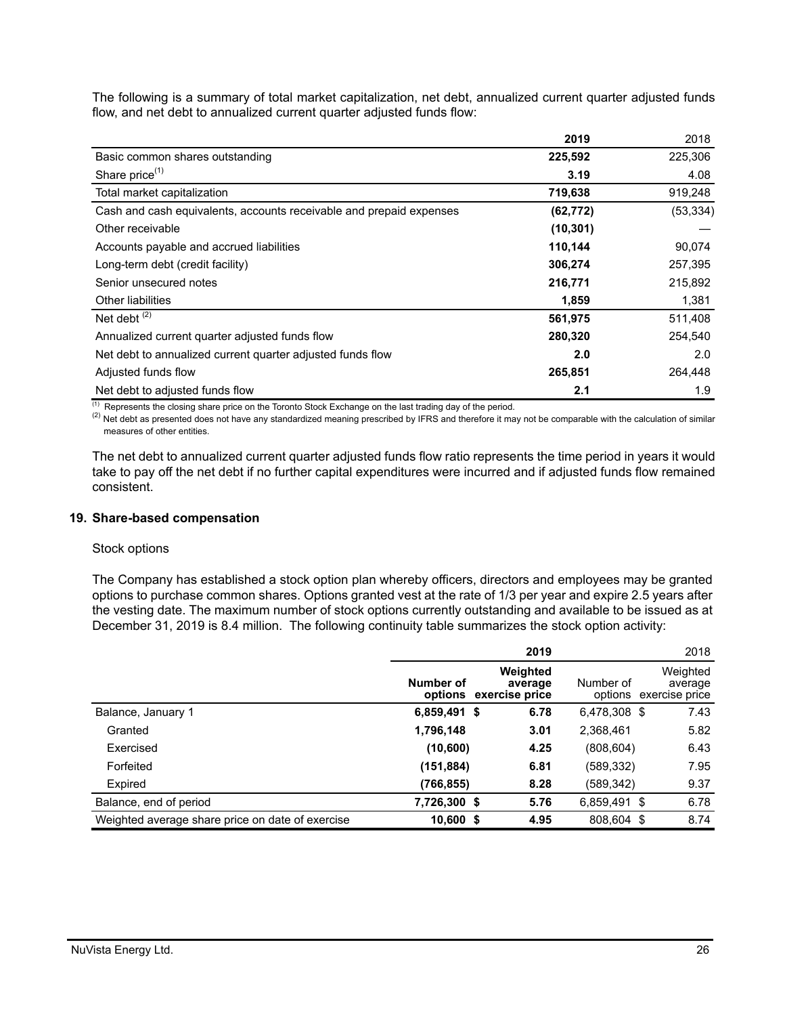The following is a summary of total market capitalization, net debt, annualized current quarter adjusted funds flow, and net debt to annualized current quarter adjusted funds flow:

|                                                                     | 2019      | 2018      |
|---------------------------------------------------------------------|-----------|-----------|
| Basic common shares outstanding                                     | 225,592   | 225,306   |
| Share price $(1)$                                                   | 3.19      | 4.08      |
| Total market capitalization                                         | 719,638   | 919,248   |
| Cash and cash equivalents, accounts receivable and prepaid expenses | (62, 772) | (53, 334) |
| Other receivable                                                    | (10, 301) |           |
| Accounts payable and accrued liabilities                            | 110,144   | 90,074    |
| Long-term debt (credit facility)                                    | 306,274   | 257,395   |
| Senior unsecured notes                                              | 216,771   | 215,892   |
| <b>Other liabilities</b>                                            | 1,859     | 1,381     |
| Net debt $(2)$                                                      | 561,975   | 511,408   |
| Annualized current quarter adjusted funds flow                      | 280,320   | 254,540   |
| Net debt to annualized current quarter adjusted funds flow          | 2.0       | 2.0       |
| Adjusted funds flow                                                 | 265,851   | 264,448   |
| Net debt to adjusted funds flow                                     | 2.1       | 1.9       |

 $(1)$  Represents the closing share price on the Toronto Stock Exchange on the last trading day of the period.

 $^{(2)}$  Net debt as presented does not have any standardized meaning prescribed by IFRS and therefore it may not be comparable with the calculation of similar measures of other entities.

The net debt to annualized current quarter adjusted funds flow ratio represents the time period in years it would take to pay off the net debt if no further capital expenditures were incurred and if adjusted funds flow remained consistent.

#### **19. Share-based compensation**

#### Stock options

The Company has established a stock option plan whereby officers, directors and employees may be granted options to purchase common shares. Options granted vest at the rate of 1/3 per year and expire 2.5 years after the vesting date. The maximum number of stock options currently outstanding and available to be issued as at December 31, 2019 is 8.4 million. The following continuity table summarizes the stock option activity:

|                                                  |              | 2019                                          |              | 2018                                          |
|--------------------------------------------------|--------------|-----------------------------------------------|--------------|-----------------------------------------------|
|                                                  | Number of    | Weighted<br>average<br>options exercise price | Number of    | Weighted<br>average<br>options exercise price |
| Balance, January 1                               | 6,859,491 \$ | 6.78                                          | 6,478,308 \$ | 7.43                                          |
| Granted                                          | 1,796,148    | 3.01                                          | 2,368,461    | 5.82                                          |
| Exercised                                        | (10,600)     | 4.25                                          | (808, 604)   | 6.43                                          |
| Forfeited                                        | (151, 884)   | 6.81                                          | (589,332)    | 7.95                                          |
| Expired                                          | (766,855)    | 8.28                                          | (589,342)    | 9.37                                          |
| Balance, end of period                           | 7,726,300 \$ | 5.76                                          | 6,859,491 \$ | 6.78                                          |
| Weighted average share price on date of exercise | $10,600$ \$  | 4.95                                          | 808,604 \$   | 8.74                                          |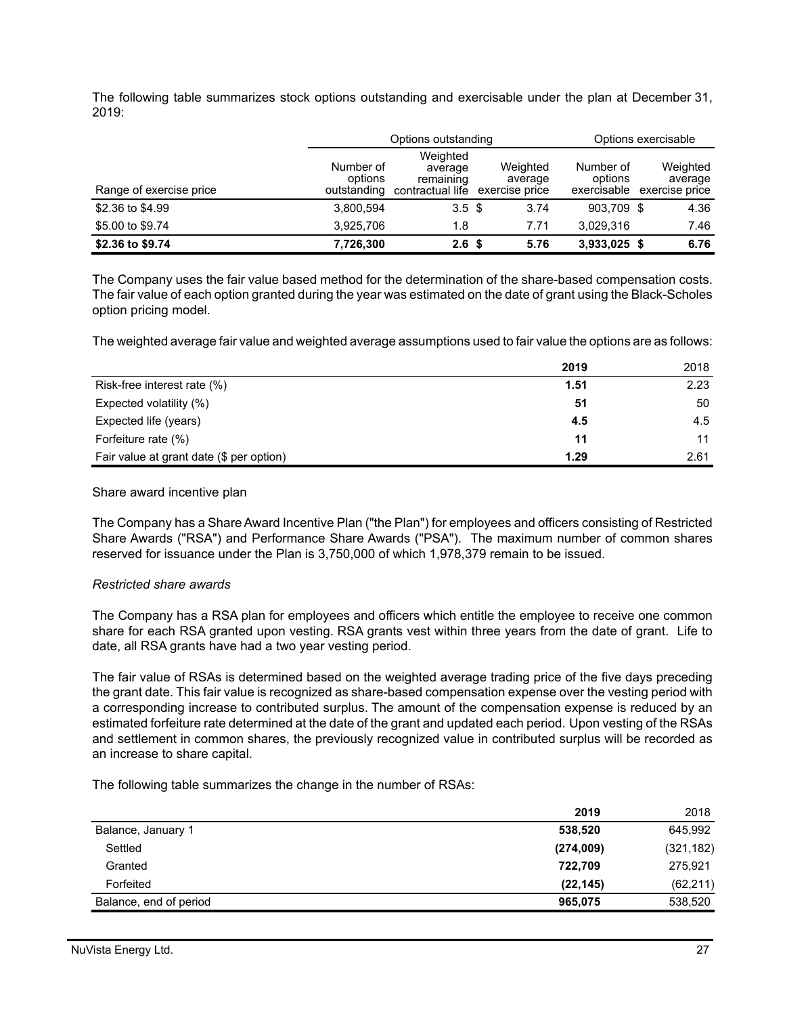The following table summarizes stock options outstanding and exercisable under the plan at December 31, 2019:

|                         |                                     | Options outstanding                                  |                                       | Options exercisable                 |  |                                       |  |
|-------------------------|-------------------------------------|------------------------------------------------------|---------------------------------------|-------------------------------------|--|---------------------------------------|--|
| Range of exercise price | Number of<br>options<br>outstanding | Weighted<br>average<br>remaining<br>contractual life | Weighted<br>average<br>exercise price | Number of<br>options<br>exercisable |  | Weighted<br>average<br>exercise price |  |
| \$2.36 to \$4.99        | 3.800.594                           | 3.5 <sup>5</sup>                                     | 3.74                                  | 903.709 \$                          |  | 4.36                                  |  |
| \$5.00 to \$9.74        | 3.925.706                           | 1.8                                                  | 7.71                                  | 3.029.316                           |  | 7.46                                  |  |
| \$2.36 to \$9.74        | 7,726,300                           | 2.6 <sup>5</sup>                                     | 5.76                                  | $3,933,025$ \$                      |  | 6.76                                  |  |

The Company uses the fair value based method for the determination of the share-based compensation costs. The fair value of each option granted during the year was estimated on the date of grant using the Black-Scholes option pricing model.

The weighted average fair value and weighted average assumptions used to fair value the options are as follows:

|                                          | 2019 | 2018 |
|------------------------------------------|------|------|
| Risk-free interest rate (%)              | 1.51 | 2.23 |
| Expected volatility (%)                  | 51   | 50   |
| Expected life (years)                    | 4.5  | 4.5  |
| Forfeiture rate (%)                      | 11   | 11   |
| Fair value at grant date (\$ per option) | 1.29 | 2.61 |

#### Share award incentive plan

The Company has a Share Award Incentive Plan ("the Plan") for employees and officers consisting of Restricted Share Awards ("RSA") and Performance Share Awards ("PSA"). The maximum number of common shares reserved for issuance under the Plan is 3,750,000 of which 1,978,379 remain to be issued.

#### *Restricted share awards*

The Company has a RSA plan for employees and officers which entitle the employee to receive one common share for each RSA granted upon vesting. RSA grants vest within three years from the date of grant. Life to date, all RSA grants have had a two year vesting period.

The fair value of RSAs is determined based on the weighted average trading price of the five days preceding the grant date. This fair value is recognized as share-based compensation expense over the vesting period with a corresponding increase to contributed surplus. The amount of the compensation expense is reduced by an estimated forfeiture rate determined at the date of the grant and updated each period. Upon vesting of the RSAs and settlement in common shares, the previously recognized value in contributed surplus will be recorded as an increase to share capital.

The following table summarizes the change in the number of RSAs:

|                        | 2019      | 2018       |
|------------------------|-----------|------------|
| Balance, January 1     | 538,520   | 645,992    |
| Settled                | (274,009) | (321, 182) |
| Granted                | 722,709   | 275,921    |
| Forfeited              | (22, 145) | (62, 211)  |
| Balance, end of period | 965,075   | 538,520    |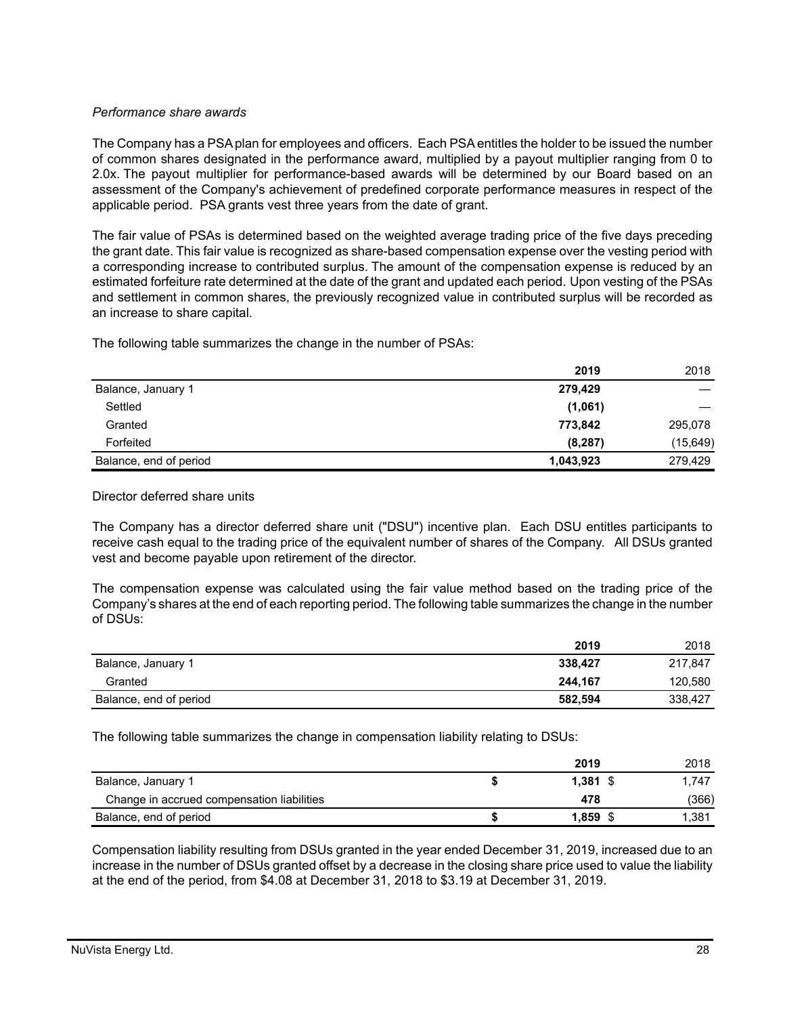### *Performance share awards*

The Company has a PSA plan for employees and officers. Each PSA entitles the holder to be issued the number of common shares designated in the performance award, multiplied by a payout multiplier ranging from 0 to 2.0x. The payout multiplier for performance-based awards will be determined by our Board based on an assessment of the Company's achievement of predefined corporate performance measures in respect of the applicable period. PSA grants vest three years from the date of grant.

The fair value of PSAs is determined based on the weighted average trading price of the five days preceding the grant date. This fair value is recognized as share-based compensation expense over the vesting period with a corresponding increase to contributed surplus. The amount of the compensation expense is reduced by an estimated forfeiture rate determined at the date of the grant and updated each period. Upon vesting of the PSAs and settlement in common shares, the previously recognized value in contributed surplus will be recorded as an increase to share capital.

The following table summarizes the change in the number of PSAs:

|                        | 2019      | 2018      |
|------------------------|-----------|-----------|
| Balance, January 1     | 279,429   |           |
| Settled                | (1,061)   |           |
| Granted                | 773,842   | 295,078   |
| Forfeited              | (8, 287)  | (15, 649) |
| Balance, end of period | 1,043,923 | 279,429   |

### Director deferred share units

The Company has a director deferred share unit ("DSU") incentive plan. Each DSU entitles participants to receive cash equal to the trading price of the equivalent number of shares of the Company. All DSUs granted vest and become payable upon retirement of the director.

The compensation expense was calculated using the fair value method based on the trading price of the Company's shares at the end of each reporting period. The following table summarizes the change in the number of DSUs:

|                        | 2019    | 2018    |
|------------------------|---------|---------|
| Balance, January 1     | 338.427 | 217.847 |
| Granted                | 244.167 | 120,580 |
| Balance, end of period | 582.594 | 338.427 |

The following table summarizes the change in compensation liability relating to DSUs:

|                                            | 2019       | 2018  |
|--------------------------------------------|------------|-------|
| Balance, January 1                         | $1.381$ \$ | 1.747 |
| Change in accrued compensation liabilities | 478        | (366) |
| Balance, end of period                     | 1.859      | 1,381 |

Compensation liability resulting from DSUs granted in the year ended December 31, 2019, increased due to an increase in the number of DSUs granted offset by a decrease in the closing share price used to value the liability at the end of the period, from \$4.08 at December 31, 2018 to \$3.19 at December 31, 2019.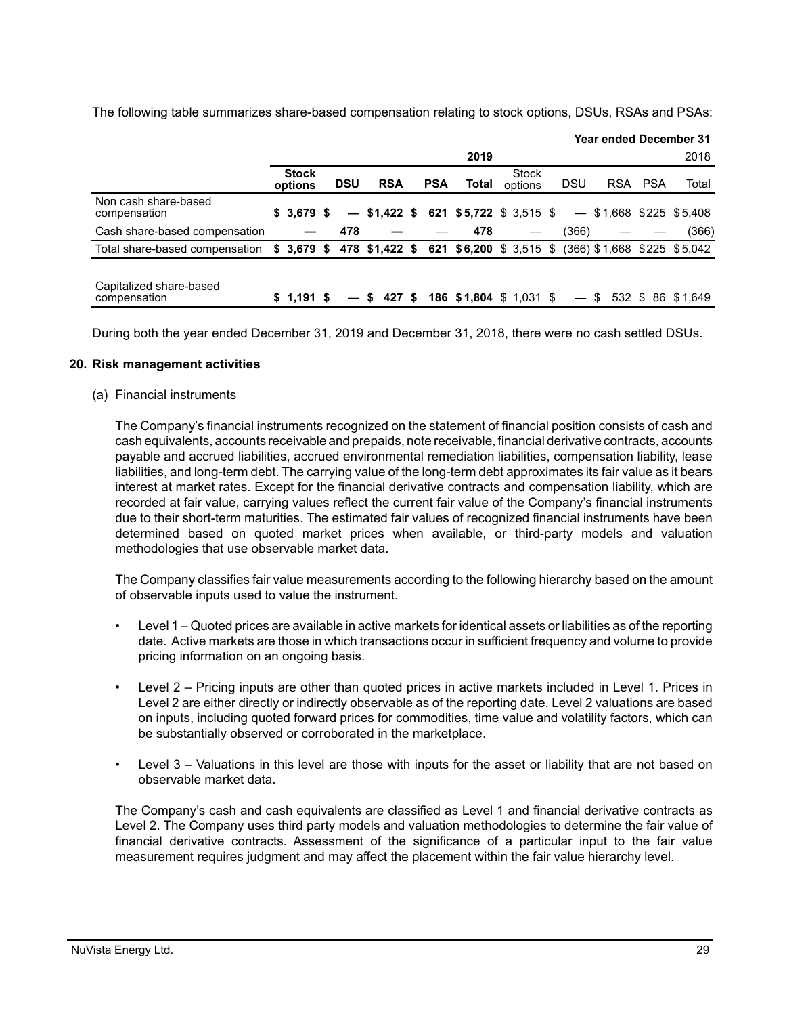The following table summarizes share-based compensation relating to stock options, DSUs, RSAs and PSAs:

|                                                                                   |                         |            |            |    |            |                                        |                         |            |         | <b>Year ended December 31</b> |
|-----------------------------------------------------------------------------------|-------------------------|------------|------------|----|------------|----------------------------------------|-------------------------|------------|---------|-------------------------------|
|                                                                                   |                         |            |            |    |            | 2019                                   |                         |            |         | 2018                          |
|                                                                                   | <b>Stock</b><br>options | <b>DSU</b> | <b>RSA</b> |    | <b>PSA</b> | Total                                  | <b>Stock</b><br>options | <b>DSU</b> | RSA PSA | Total                         |
| Non cash share-based<br>compensation                                              | \$ 3.679 \$             |            |            |    |            | $-$ \$1,422 \$ 621 \$5,722 \$ 3,515 \$ |                         |            |         | $-$ \$1,668 \$225 \$5,408     |
| Cash share-based compensation                                                     |                         | 478        |            |    |            | 478                                    |                         | (366)      |         | (366)                         |
| Total share-based compensation \$ 3,679 \$ 478 \$1,422 \$ 621 \$6,200 \$ 3,515 \$ |                         |            |            |    |            |                                        |                         |            |         | $(366)$ \$1,668 \$225 \$5,042 |
| Capitalized share-based<br>compensation                                           | \$1.191 \$              |            | 427        | -S |            | 186 \$1,804 \$1,031 \$                 |                         | $-$ \$     |         | 532 \$ 86 \$1.649             |

During both the year ended December 31, 2019 and December 31, 2018, there were no cash settled DSUs.

#### **20. Risk management activities**

#### (a) Financial instruments

The Company's financial instruments recognized on the statement of financial position consists of cash and cash equivalents, accounts receivable and prepaids, note receivable, financial derivative contracts, accounts payable and accrued liabilities, accrued environmental remediation liabilities, compensation liability, lease liabilities, and long-term debt. The carrying value of the long-term debt approximates its fair value as it bears interest at market rates. Except for the financial derivative contracts and compensation liability, which are recorded at fair value, carrying values reflect the current fair value of the Company's financial instruments due to their short-term maturities. The estimated fair values of recognized financial instruments have been determined based on quoted market prices when available, or third-party models and valuation methodologies that use observable market data.

The Company classifies fair value measurements according to the following hierarchy based on the amount of observable inputs used to value the instrument.

- Level 1 Quoted prices are available in active markets for identical assets or liabilities as of the reporting date. Active markets are those in which transactions occur in sufficient frequency and volume to provide pricing information on an ongoing basis.
- Level 2 Pricing inputs are other than quoted prices in active markets included in Level 1. Prices in Level 2 are either directly or indirectly observable as of the reporting date. Level 2 valuations are based on inputs, including quoted forward prices for commodities, time value and volatility factors, which can be substantially observed or corroborated in the marketplace.
- Level 3 Valuations in this level are those with inputs for the asset or liability that are not based on observable market data.

The Company's cash and cash equivalents are classified as Level 1 and financial derivative contracts as Level 2. The Company uses third party models and valuation methodologies to determine the fair value of financial derivative contracts. Assessment of the significance of a particular input to the fair value measurement requires judgment and may affect the placement within the fair value hierarchy level.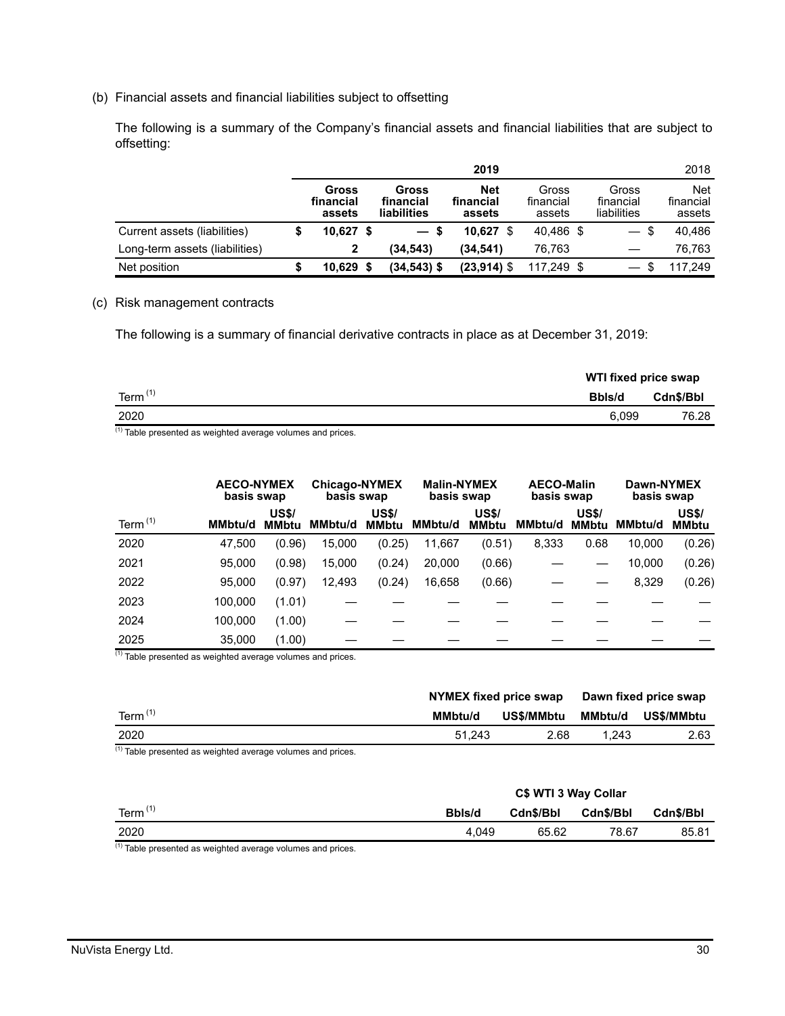(b) Financial assets and financial liabilities subject to offsetting

The following is a summary of the Company's financial assets and financial liabilities that are subject to offsetting:

|                                |                              |      |                                   | 2019                              |                              |                                   |      | 2018                              |
|--------------------------------|------------------------------|------|-----------------------------------|-----------------------------------|------------------------------|-----------------------------------|------|-----------------------------------|
|                                | Gross<br>financial<br>assets |      | Gross<br>financial<br>liabilities | <b>Net</b><br>financial<br>assets | Gross<br>financial<br>assets | Gross<br>financial<br>liabilities |      | <b>Net</b><br>financial<br>assets |
| Current assets (liabilities)   | $10,627$ \$                  |      | $-s$                              | $10.627$ \$                       | 40.486 \$                    | $\qquad \qquad -$                 | - \$ | 40.486                            |
| Long-term assets (liabilities) |                              |      | (34.543)                          | (34, 541)                         | 76.763                       |                                   |      | 76.763                            |
| Net position                   | 10.629                       | - \$ | $(34,543)$ \$                     | $(23,914)$ \$                     | 117.249 \$                   |                                   |      | 117.249                           |

#### (c) Risk management contracts

The following is a summary of financial derivative contracts in place as at December 31, 2019:

|            | WTI fixed price swap |                  |
|------------|----------------------|------------------|
| Term $(1)$ | Bbls/d               | <b>Cdn\$/Bbl</b> |
| 2020       | 6.099                | 76.28            |

 $(1)$  Table presented as weighted average volumes and prices.

|            | <b>AECO-NYMEX</b><br>basis swap |                              |         | <b>Chicago-NYMEX</b><br>basis swap |                | <b>Malin-NYMEX</b><br>basis swap | <b>AECO-Malin</b><br>basis swap |                              | Dawn-NYMEX<br>basis swap |                              |
|------------|---------------------------------|------------------------------|---------|------------------------------------|----------------|----------------------------------|---------------------------------|------------------------------|--------------------------|------------------------------|
| Term $(1)$ | <b>MMbtu/d</b>                  | <b>US\$/</b><br><b>MMbtu</b> | MMbtu/d | <b>US\$/</b><br><b>MMbtu</b>       | <b>MMbtu/d</b> | <b>US\$/</b><br><b>MMbtu</b>     | MMbtu/d                         | <b>US\$/</b><br><b>MMbtu</b> | <b>MMbtu/d</b>           | <b>US\$/</b><br><b>MMbtu</b> |
| 2020       | 47.500                          | (0.96)                       | 15,000  | (0.25)                             | 11,667         | (0.51)                           | 8,333                           | 0.68                         | 10.000                   | (0.26)                       |
| 2021       | 95.000                          | (0.98)                       | 15,000  | (0.24)                             | 20,000         | (0.66)                           |                                 |                              | 10.000                   | (0.26)                       |
| 2022       | 95,000                          | (0.97)                       | 12,493  | (0.24)                             | 16,658         | (0.66)                           |                                 |                              | 8,329                    | (0.26)                       |
| 2023       | 100,000                         | (1.01)                       |         |                                    |                |                                  |                                 |                              |                          |                              |
| 2024       | 100.000                         | (1.00)                       |         |                                    |                |                                  |                                 |                              |                          |                              |
| 2025       | 35,000                          | (1.00)                       |         |                                    |                |                                  |                                 |                              |                          |                              |

(1) Table presented as weighted average volumes and prices.

|                    | NYMEX fixed price swap |            |         | Dawn fixed price swap |
|--------------------|------------------------|------------|---------|-----------------------|
| Term <sup>(1</sup> | MMbtu/d                | US\$/MMbtu | MMbtu/d | US\$/MMbtu            |
| 2020               | 51.243                 | 2.68       | 1.243   | 2.63                  |
| $(1) - 1$<br>.     |                        |            |         |                       |

 $<sup>(1)</sup>$  Table presented as weighted average volumes and prices.</sup>

|                |        | C\$ WTI 3 Way Collar |           |           |
|----------------|--------|----------------------|-----------|-----------|
| Term $(1)$     | Bbls/d | Cdn\$/Bbl            | Cdn\$/Bbl | Cdn\$/Bbl |
| 2020           | 4.049  | 65.62                | 78.67     | 85.81     |
| $(1) - 1$<br>. |        |                      |           |           |

<sup>(1)</sup> Table presented as weighted average volumes and prices.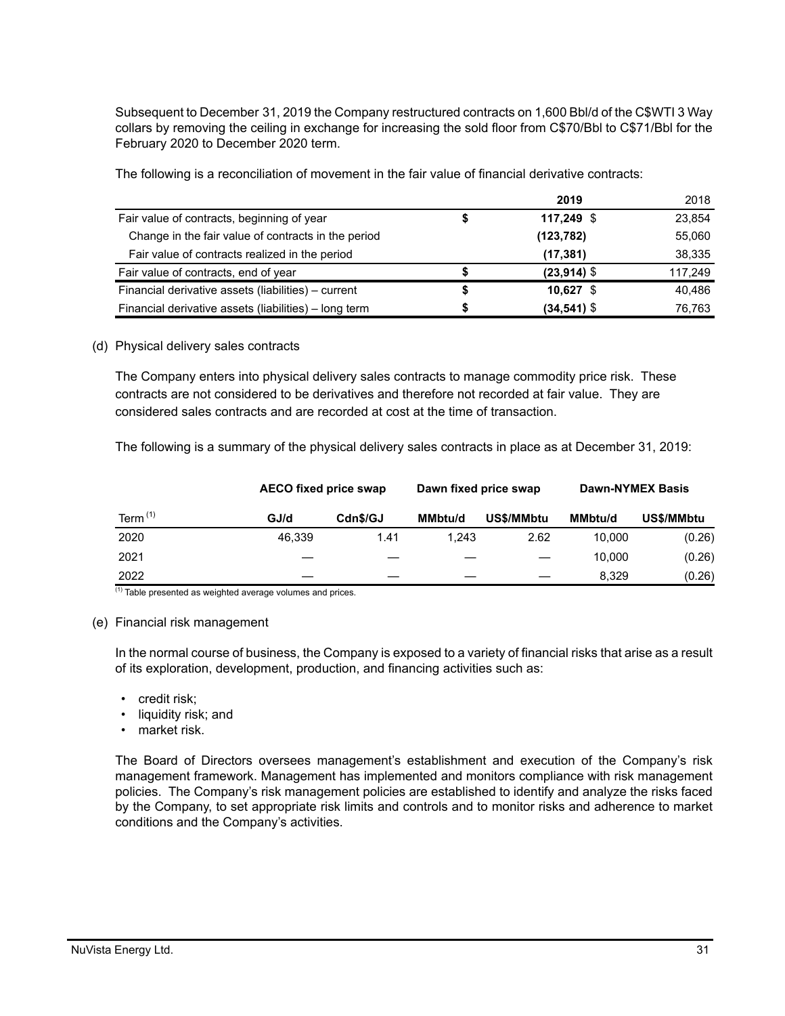Subsequent to December 31, 2019 the Company restructured contracts on 1,600 Bbl/d of the C\$WTI 3 Way collars by removing the ceiling in exchange for increasing the sold floor from C\$70/Bbl to C\$71/Bbl for the February 2020 to December 2020 term.

|                                                       |   | 2019           | 2018    |
|-------------------------------------------------------|---|----------------|---------|
| Fair value of contracts, beginning of year            |   | $117,249$ \$   | 23,854  |
| Change in the fair value of contracts in the period   |   | (123, 782)     | 55,060  |
| Fair value of contracts realized in the period        |   | (17, 381)      | 38,335  |
| Fair value of contracts, end of year                  |   | $(23, 914)$ \$ | 117.249 |
| Financial derivative assets (liabilities) – current   |   | $10,627$ \$    | 40.486  |
| Financial derivative assets (liabilities) - long term | S | $(34, 541)$ \$ | 76.763  |

The following is a reconciliation of movement in the fair value of financial derivative contracts:

### (d) Physical delivery sales contracts

The Company enters into physical delivery sales contracts to manage commodity price risk. These contracts are not considered to be derivatives and therefore not recorded at fair value. They are considered sales contracts and are recorded at cost at the time of transaction.

The following is a summary of the physical delivery sales contracts in place as at December 31, 2019:

|            | <b>AECO fixed price swap</b> |          | Dawn fixed price swap |            | <b>Dawn-NYMEX Basis</b> |            |  |
|------------|------------------------------|----------|-----------------------|------------|-------------------------|------------|--|
| Term $(1)$ | GJ/d                         | Cdn\$/GJ | <b>MMbtu/d</b>        | US\$/MMbtu | <b>MMbtu/d</b>          | US\$/MMbtu |  |
| 2020       | 46.339                       | 1.41     | 1.243                 | 2.62       | 10.000                  | (0.26)     |  |
| 2021       |                              |          |                       |            | 10.000                  | (0.26)     |  |
| 2022       |                              |          |                       |            | 8.329                   | (0.26)     |  |

 $(1)$  Table presented as weighted average volumes and prices.

#### (e) Financial risk management

In the normal course of business, the Company is exposed to a variety of financial risks that arise as a result of its exploration, development, production, and financing activities such as:

- credit risk;
- liquidity risk; and
- market risk.

The Board of Directors oversees management's establishment and execution of the Company's risk management framework. Management has implemented and monitors compliance with risk management policies. The Company's risk management policies are established to identify and analyze the risks faced by the Company, to set appropriate risk limits and controls and to monitor risks and adherence to market conditions and the Company's activities.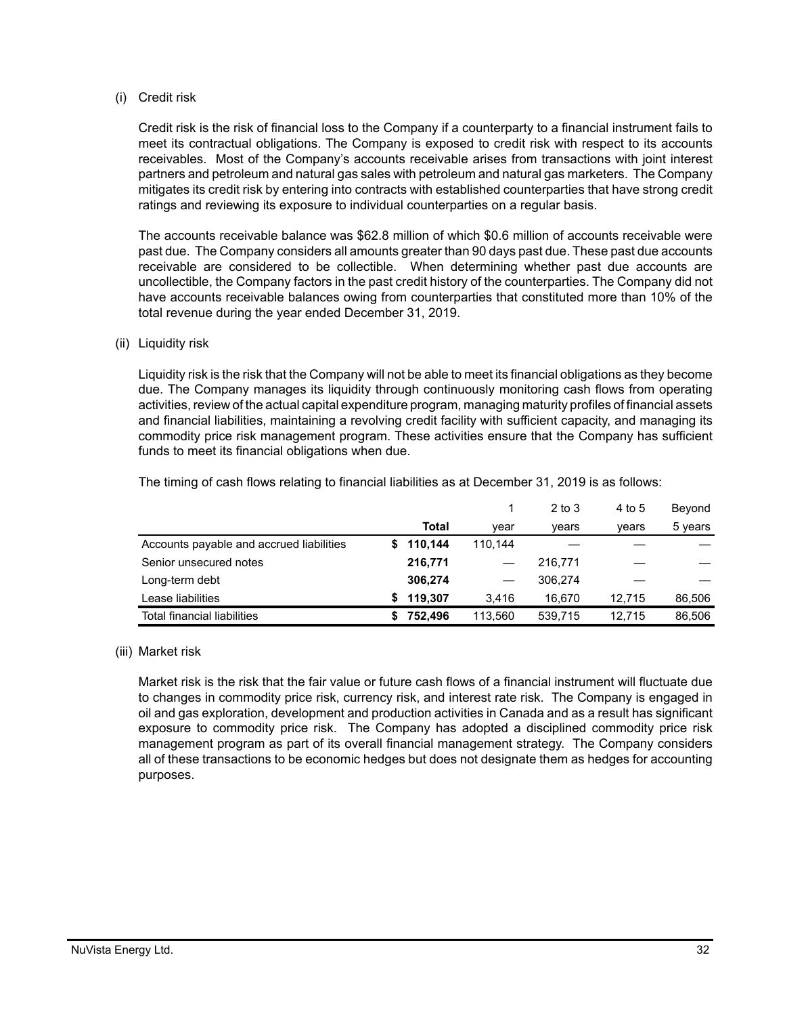### (i) Credit risk

Credit risk is the risk of financial loss to the Company if a counterparty to a financial instrument fails to meet its contractual obligations. The Company is exposed to credit risk with respect to its accounts receivables. Most of the Company's accounts receivable arises from transactions with joint interest partners and petroleum and natural gas sales with petroleum and natural gas marketers. The Company mitigates its credit risk by entering into contracts with established counterparties that have strong credit ratings and reviewing its exposure to individual counterparties on a regular basis.

The accounts receivable balance was \$62.8 million of which \$0.6 million of accounts receivable were past due. The Company considers all amounts greater than 90 days past due. These past due accounts receivable are considered to be collectible. When determining whether past due accounts are uncollectible, the Company factors in the past credit history of the counterparties. The Company did not have accounts receivable balances owing from counterparties that constituted more than 10% of the total revenue during the year ended December 31, 2019.

#### (ii) Liquidity risk

Liquidity risk is the risk that the Company will not be able to meet its financial obligations as they become due. The Company manages its liquidity through continuously monitoring cash flows from operating activities, review of the actual capital expenditure program, managing maturity profiles of financial assets and financial liabilities, maintaining a revolving credit facility with sufficient capacity, and managing its commodity price risk management program. These activities ensure that the Company has sufficient funds to meet its financial obligations when due.

|                                          |    |         | 1                 | $2$ to $3$ | 4 to 5 | Beyond  |
|------------------------------------------|----|---------|-------------------|------------|--------|---------|
|                                          |    | Total   | year              | years      | vears  | 5 years |
| Accounts payable and accrued liabilities | S. | 110.144 | 110.144           |            |        |         |
| Senior unsecured notes                   |    | 216,771 |                   | 216,771    |        |         |
| Long-term debt                           |    | 306.274 | $\hspace{0.05cm}$ | 306.274    |        |         |
| Lease liabilities                        | S  | 119.307 | 3.416             | 16.670     | 12.715 | 86,506  |
| <b>Total financial liabilities</b>       |    | 752.496 | 113.560           | 539.715    | 12.715 | 86,506  |

The timing of cash flows relating to financial liabilities as at December 31, 2019 is as follows:

#### (iii) Market risk

Market risk is the risk that the fair value or future cash flows of a financial instrument will fluctuate due to changes in commodity price risk, currency risk, and interest rate risk. The Company is engaged in oil and gas exploration, development and production activities in Canada and as a result has significant exposure to commodity price risk. The Company has adopted a disciplined commodity price risk management program as part of its overall financial management strategy. The Company considers all of these transactions to be economic hedges but does not designate them as hedges for accounting purposes.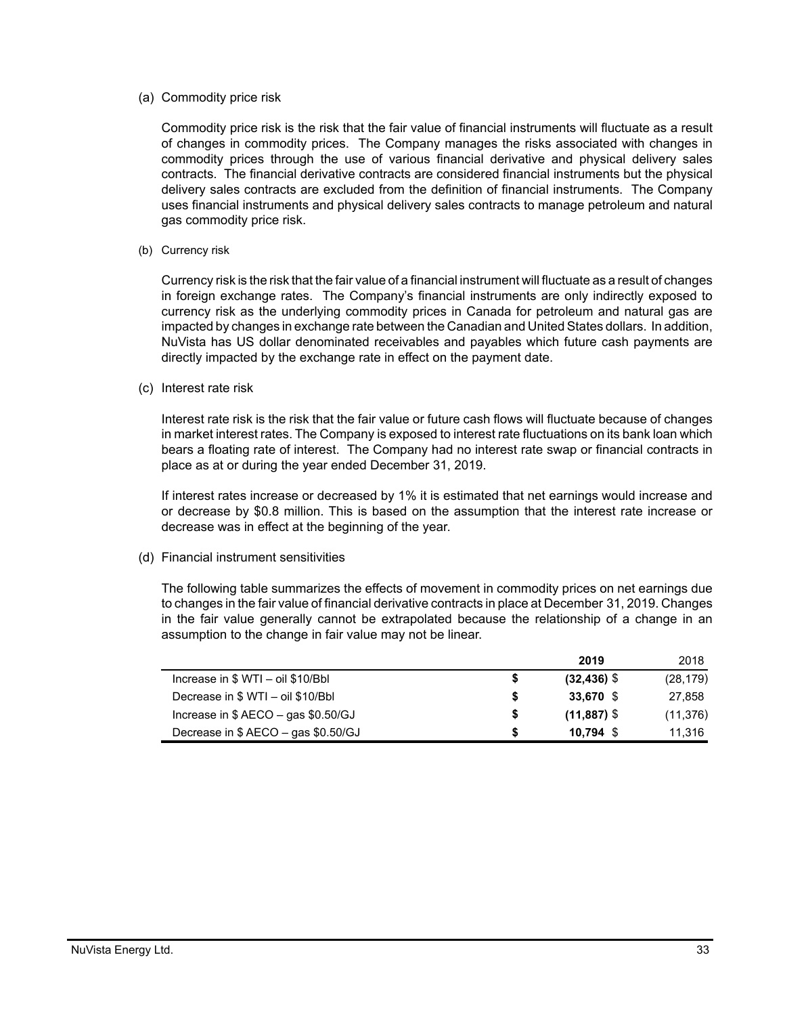#### (a) Commodity price risk

Commodity price risk is the risk that the fair value of financial instruments will fluctuate as a result of changes in commodity prices. The Company manages the risks associated with changes in commodity prices through the use of various financial derivative and physical delivery sales contracts. The financial derivative contracts are considered financial instruments but the physical delivery sales contracts are excluded from the definition of financial instruments. The Company uses financial instruments and physical delivery sales contracts to manage petroleum and natural gas commodity price risk.

#### (b) Currency risk

Currency risk is the risk that the fair value of a financial instrument will fluctuate as a result of changes in foreign exchange rates. The Company's financial instruments are only indirectly exposed to currency risk as the underlying commodity prices in Canada for petroleum and natural gas are impacted by changes in exchange rate between the Canadian and United States dollars. In addition, NuVista has US dollar denominated receivables and payables which future cash payments are directly impacted by the exchange rate in effect on the payment date.

#### (c) Interest rate risk

Interest rate risk is the risk that the fair value or future cash flows will fluctuate because of changes in market interest rates. The Company is exposed to interest rate fluctuations on its bank loan which bears a floating rate of interest. The Company had no interest rate swap or financial contracts in place as at or during the year ended December 31, 2019.

If interest rates increase or decreased by 1% it is estimated that net earnings would increase and or decrease by \$0.8 million. This is based on the assumption that the interest rate increase or decrease was in effect at the beginning of the year.

### (d) Financial instrument sensitivities

The following table summarizes the effects of movement in commodity prices on net earnings due to changes in the fair value of financial derivative contracts in place at December 31, 2019. Changes in the fair value generally cannot be extrapolated because the relationship of a change in an assumption to the change in fair value may not be linear.

|                                     |   | 2019           | 2018      |
|-------------------------------------|---|----------------|-----------|
| Increase in \$ WTI - oil \$10/Bbl   | S | $(32, 436)$ \$ | (28, 179) |
| Decrease in \$ WTI - oil \$10/Bbl   | S | 33.670 \$      | 27.858    |
| Increase in $$AECO - gas $0.50/GJ$  | S | $(11,887)$ \$  | (11, 376) |
| Decrease in \$ AECO - gas \$0.50/GJ | S | $10.794$ \$    | 11.316    |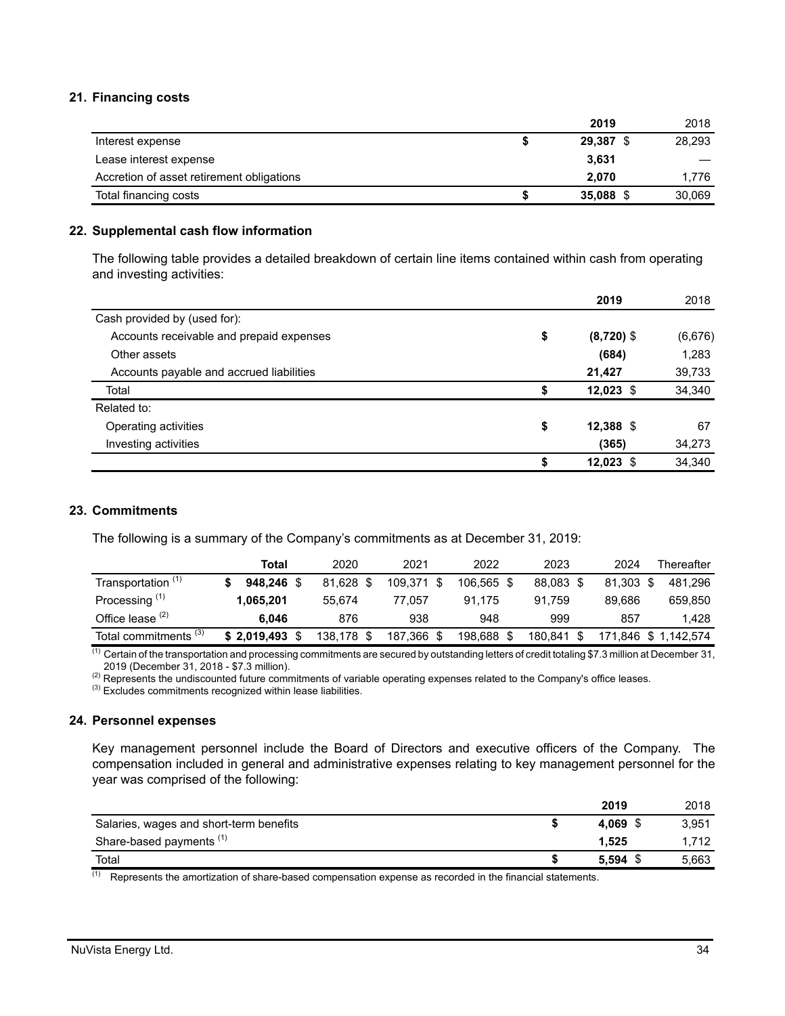#### **21. Financing costs**

|                                           |   | 2019      | 2018   |
|-------------------------------------------|---|-----------|--------|
| Interest expense                          |   | 29,387 \$ | 28,293 |
| Lease interest expense                    |   | 3.631     |        |
| Accretion of asset retirement obligations |   | 2.070     | 1.776  |
| Total financing costs                     | S | 35.088    | 30,069 |

#### **22. Supplemental cash flow information**

The following table provides a detailed breakdown of certain line items contained within cash from operating and investing activities:

|                                          |    | 2019         | 2018    |
|------------------------------------------|----|--------------|---------|
| Cash provided by (used for):             |    |              |         |
| Accounts receivable and prepaid expenses | \$ | $(8,720)$ \$ | (6,676) |
| Other assets                             |    | (684)        | 1,283   |
| Accounts payable and accrued liabilities |    | 21,427       | 39,733  |
| Total                                    | S  | $12,023$ \$  | 34,340  |
| Related to:                              |    |              |         |
| Operating activities                     | \$ | $12,388$ \$  | 67      |
| Investing activities                     |    | (365)        | 34,273  |
|                                          | \$ | $12,023$ \$  | 34,340  |

#### **23. Commitments**

The following is a summary of the Company's commitments as at December 31, 2019:

|                                  | Total         | 2020       | 2021       | 2022    | 2023      | 2024      | Thereafter          |
|----------------------------------|---------------|------------|------------|---------|-----------|-----------|---------------------|
| Transportation <sup>(1)</sup>    | 948.246 \$    | 81.628 \$  | 109.371 \$ | 106.565 | 88.083 \$ | 81.303 \$ | 481.296             |
| Processing <sup>(1)</sup>        | 1,065,201     | 55.674     | 77.057     | 91.175  | 91.759    | 89.686    | 659,850             |
| Office lease <sup>(2)</sup>      | 6.046         | 876        | 938        | 948     | 999       | 857       | 1.428               |
| Total commitments <sup>(3)</sup> | \$2.019.493\$ | 138.178 \$ | 187,366 \$ | 198.688 | 180.841   |           | 171.846 \$1.142.574 |

 $\overline{^{(1)}}$  Certain of the transportation and processing commitments are secured by outstanding letters of credit totaling \$7.3 million at December 31,

2019 (December 31, 2018 - \$7.3 million). (2) Represents the undiscounted future commitments of variable operating expenses related to the Company's office leases.

<sup>(3)</sup> Excludes commitments recognized within lease liabilities.

#### **24. Personnel expenses**

Key management personnel include the Board of Directors and executive officers of the Company. The compensation included in general and administrative expenses relating to key management personnel for the year was comprised of the following:

|                                         | 2019     | 2018  |
|-----------------------------------------|----------|-------|
| Salaries, wages and short-term benefits | 4.069 \$ | 3.951 |
| Share-based payments (1)                | 1.525    | 1,712 |
| Total                                   | 5,594    | 5,663 |

 $(1)$  Represents the amortization of share-based compensation expense as recorded in the financial statements.